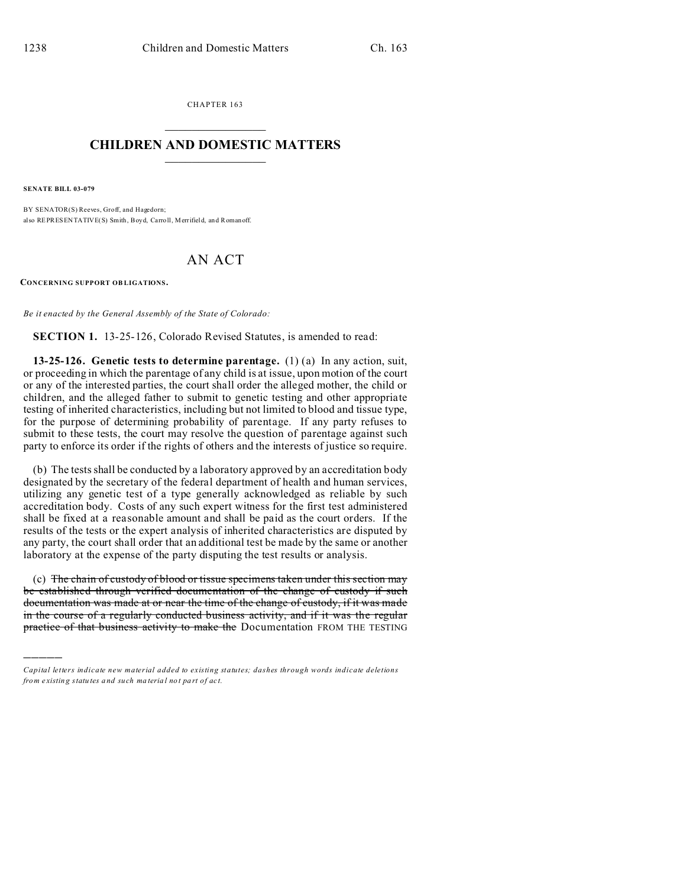CHAPTER 163  $\overline{\phantom{a}}$  , where  $\overline{\phantom{a}}$ 

## **CHILDREN AND DOMESTIC MATTERS**  $\_$   $\_$

**SENATE BILL 03-079**

)))))

BY SENATOR(S) Reeves, Groff, and Hagedorn; also REPRESENTATIVE(S) Smith, Boyd, Carro ll, Merrifield, and Romanoff.

## AN ACT

**CONCERNING SUPPORT OB LIGATIONS.**

*Be it enacted by the General Assembly of the State of Colorado:*

**SECTION 1.** 13-25-126, Colorado Revised Statutes, is amended to read:

**13-25-126. Genetic tests to determine parentage.** (1) (a) In any action, suit, or proceeding in which the parentage of any child is at issue, upon motion of the court or any of the interested parties, the court shall order the alleged mother, the child or children, and the alleged father to submit to genetic testing and other appropriate testing of inherited characteristics, including but not limited to blood and tissue type, for the purpose of determining probability of parentage. If any party refuses to submit to these tests, the court may resolve the question of parentage against such party to enforce its order if the rights of others and the interests of justice so require.

(b) The tests shall be conducted by a laboratory approved by an accreditation body designated by the secretary of the federal department of health and human services, utilizing any genetic test of a type generally acknowledged as reliable by such accreditation body. Costs of any such expert witness for the first test administered shall be fixed at a reasonable amount and shall be paid as the court orders. If the results of the tests or the expert analysis of inherited characteristics are disputed by any party, the court shall order that an additional test be made by the same or another laboratory at the expense of the party disputing the test results or analysis.

(c) The chain of custody of blood or tissue specimens taken under this section may be established through verified documentation of the change of custody if such documentation was made at or near the time of the change of custody, if it was made in the course of a regularly conducted business activity, and if it was the regular practice of that business activity to make the Documentation FROM THE TESTING

*Capital letters indicate new material added to existing statutes; dashes through words indicate deletions from e xistin g statu tes a nd such ma teria l no t pa rt of ac t.*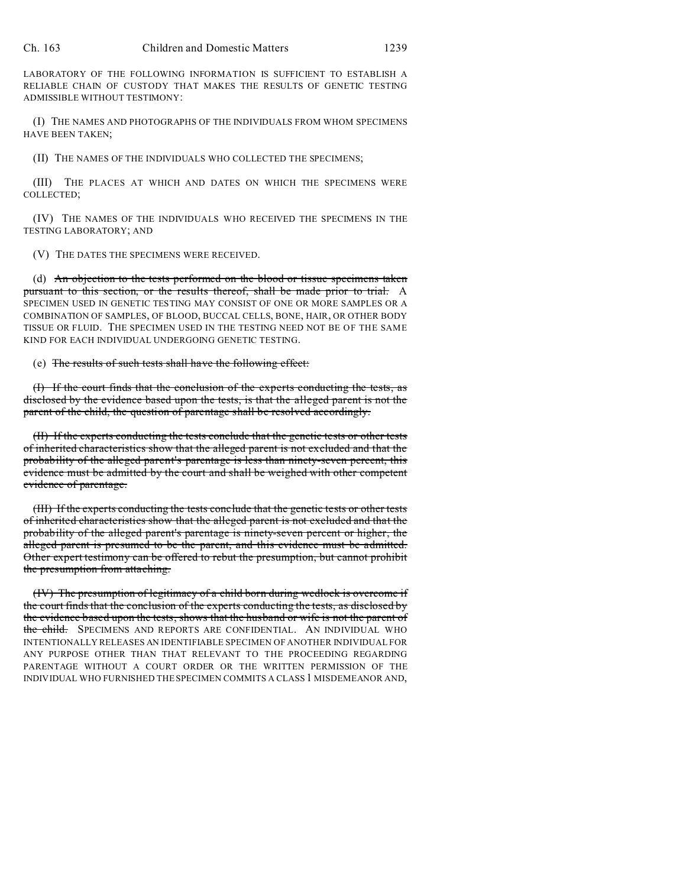LABORATORY OF THE FOLLOWING INFORMATION IS SUFFICIENT TO ESTABLISH A RELIABLE CHAIN OF CUSTODY THAT MAKES THE RESULTS OF GENETIC TESTING ADMISSIBLE WITHOUT TESTIMONY:

(I) THE NAMES AND PHOTOGRAPHS OF THE INDIVIDUALS FROM WHOM SPECIMENS HAVE BEEN TAKEN;

(II) THE NAMES OF THE INDIVIDUALS WHO COLLECTED THE SPECIMENS;

(III) THE PLACES AT WHICH AND DATES ON WHICH THE SPECIMENS WERE COLLECTED;

(IV) THE NAMES OF THE INDIVIDUALS WHO RECEIVED THE SPECIMENS IN THE TESTING LABORATORY; AND

(V) THE DATES THE SPECIMENS WERE RECEIVED.

(d) An objection to the tests performed on the blood or tissue specimens taken pursuant to this section, or the results thereof, shall be made prior to trial. A SPECIMEN USED IN GENETIC TESTING MAY CONSIST OF ONE OR MORE SAMPLES OR A COMBINATION OF SAMPLES, OF BLOOD, BUCCAL CELLS, BONE, HAIR, OR OTHER BODY TISSUE OR FLUID. THE SPECIMEN USED IN THE TESTING NEED NOT BE OF THE SAME KIND FOR EACH INDIVIDUAL UNDERGOING GENETIC TESTING.

(e) The results of such tests shall have the following effect:

(I) If the court finds that the conclusion of the experts conducting the tests, as disclosed by the evidence based upon the tests, is that the alleged parent is not the parent of the child, the question of parentage shall be resolved accordingly.

(II) If the experts conducting the tests conclude that the genetic tests or other tests of inherited characteristics show that the alleged parent is not excluded and that the probability of the alleged parent's parentage is less than ninety-seven percent, this evidence must be admitted by the court and shall be weighed with other competent evidence of parentage.

(III) If the experts conducting the tests conclude that the genetic tests or other tests of inherited characteristics show that the alleged parent is not excluded and that the probability of the alleged parent's parentage is ninety-seven percent or higher, the alleged parent is presumed to be the parent, and this evidence must be admitted. Other expert testimony can be offered to rebut the presumption, but cannot prohibit the presumption from attaching.

(IV) The presumption of legitimacy of a child born during wedlock is overcome if the court finds that the conclusion of the experts conducting the tests, as disclosed by the evidence based upon the tests, shows that the husband or wife is not the parent of the child. SPECIMENS AND REPORTS ARE CONFIDENTIAL. AN INDIVIDUAL WHO INTENTIONALLY RELEASES AN IDENTIFIABLE SPECIMEN OF ANOTHER INDIVIDUAL FOR ANY PURPOSE OTHER THAN THAT RELEVANT TO THE PROCEEDING REGARDING PARENTAGE WITHOUT A COURT ORDER OR THE WRITTEN PERMISSION OF THE INDIVIDUAL WHO FURNISHED THE SPECIMEN COMMITS A CLASS 1 MISDEMEANOR AND,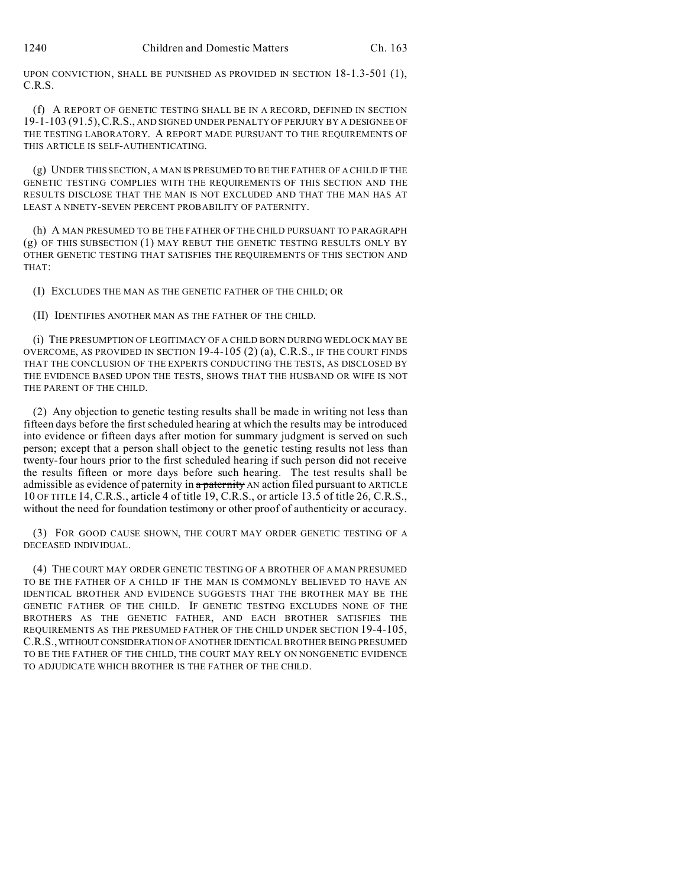UPON CONVICTION, SHALL BE PUNISHED AS PROVIDED IN SECTION 18-1.3-501 (1), C.R.S.

(f) A REPORT OF GENETIC TESTING SHALL BE IN A RECORD, DEFINED IN SECTION 19-1-103 (91.5),C.R.S., AND SIGNED UNDER PENALTY OF PERJURY BY A DESIGNEE OF THE TESTING LABORATORY. A REPORT MADE PURSUANT TO THE REQUIREMENTS OF THIS ARTICLE IS SELF-AUTHENTICATING.

(g) UNDER THIS SECTION, A MAN IS PRESUMED TO BE THE FATHER OF A CHILD IF THE GENETIC TESTING COMPLIES WITH THE REQUIREMENTS OF THIS SECTION AND THE RESULTS DISCLOSE THAT THE MAN IS NOT EXCLUDED AND THAT THE MAN HAS AT LEAST A NINETY-SEVEN PERCENT PROBABILITY OF PATERNITY.

(h) A MAN PRESUMED TO BE THE FATHER OF THE CHILD PURSUANT TO PARAGRAPH (g) OF THIS SUBSECTION (1) MAY REBUT THE GENETIC TESTING RESULTS ONLY BY OTHER GENETIC TESTING THAT SATISFIES THE REQUIREMENTS OF THIS SECTION AND THAT:

(I) EXCLUDES THE MAN AS THE GENETIC FATHER OF THE CHILD; OR

(II) IDENTIFIES ANOTHER MAN AS THE FATHER OF THE CHILD.

(i) THE PRESUMPTION OF LEGITIMACY OF A CHILD BORN DURING WEDLOCK MAY BE OVERCOME, AS PROVIDED IN SECTION 19-4-105 (2) (a), C.R.S., IF THE COURT FINDS THAT THE CONCLUSION OF THE EXPERTS CONDUCTING THE TESTS, AS DISCLOSED BY THE EVIDENCE BASED UPON THE TESTS, SHOWS THAT THE HUSBAND OR WIFE IS NOT THE PARENT OF THE CHILD.

(2) Any objection to genetic testing results shall be made in writing not less than fifteen days before the first scheduled hearing at which the results may be introduced into evidence or fifteen days after motion for summary judgment is served on such person; except that a person shall object to the genetic testing results not less than twenty-four hours prior to the first scheduled hearing if such person did not receive the results fifteen or more days before such hearing. The test results shall be admissible as evidence of paternity in a paternity AN action filed pursuant to ARTICLE 10 OF TITLE 14, C.R.S., article 4 of title 19, C.R.S., or article 13.5 of title 26, C.R.S., without the need for foundation testimony or other proof of authenticity or accuracy.

(3) FOR GOOD CAUSE SHOWN, THE COURT MAY ORDER GENETIC TESTING OF A DECEASED INDIVIDUAL.

(4) THE COURT MAY ORDER GENETIC TESTING OF A BROTHER OF A MAN PRESUMED TO BE THE FATHER OF A CHILD IF THE MAN IS COMMONLY BELIEVED TO HAVE AN IDENTICAL BROTHER AND EVIDENCE SUGGESTS THAT THE BROTHER MAY BE THE GENETIC FATHER OF THE CHILD. IF GENETIC TESTING EXCLUDES NONE OF THE BROTHERS AS THE GENETIC FATHER, AND EACH BROTHER SATISFIES THE REQUIREMENTS AS THE PRESUMED FATHER OF THE CHILD UNDER SECTION 19-4-105, C.R.S.,WITHOUT CONSIDERATION OF ANOTHER IDENTICAL BROTHER BEING PRESUMED TO BE THE FATHER OF THE CHILD, THE COURT MAY RELY ON NONGENETIC EVIDENCE TO ADJUDICATE WHICH BROTHER IS THE FATHER OF THE CHILD.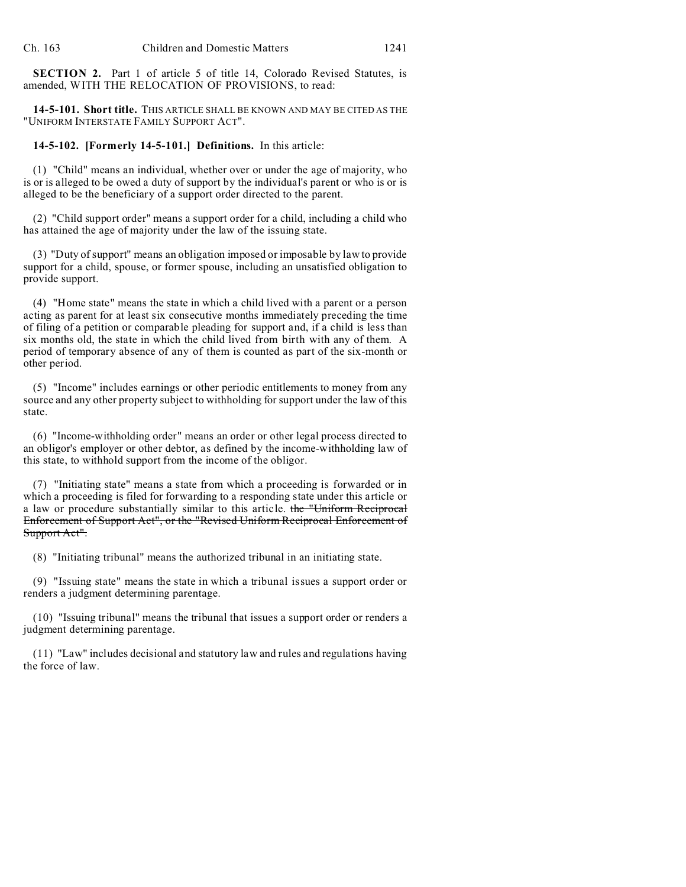**SECTION 2.** Part 1 of article 5 of title 14, Colorado Revised Statutes, is amended, WITH THE RELOCATION OF PROVISIONS, to read:

**14-5-101. Short title.** THIS ARTICLE SHALL BE KNOWN AND MAY BE CITED AS THE "UNIFORM INTERSTATE FAMILY SUPPORT ACT".

## **14-5-102. [Formerly 14-5-101.] Definitions.** In this article:

(1) "Child" means an individual, whether over or under the age of majority, who is or is alleged to be owed a duty of support by the individual's parent or who is or is alleged to be the beneficiary of a support order directed to the parent.

(2) "Child support order" means a support order for a child, including a child who has attained the age of majority under the law of the issuing state.

(3) "Duty of support" means an obligation imposed or imposable by law to provide support for a child, spouse, or former spouse, including an unsatisfied obligation to provide support.

(4) "Home state" means the state in which a child lived with a parent or a person acting as parent for at least six consecutive months immediately preceding the time of filing of a petition or comparable pleading for support and, if a child is less than six months old, the state in which the child lived from birth with any of them. A period of temporary absence of any of them is counted as part of the six-month or other period.

(5) "Income" includes earnings or other periodic entitlements to money from any source and any other property subject to withholding for support under the law of this state.

(6) "Income-withholding order" means an order or other legal process directed to an obligor's employer or other debtor, as defined by the income-withholding law of this state, to withhold support from the income of the obligor.

(7) "Initiating state" means a state from which a proceeding is forwarded or in which a proceeding is filed for forwarding to a responding state under this article or a law or procedure substantially similar to this article. the "Uniform Reciprocal Enforcement of Support Act", or the "Revised Uniform Reciprocal Enforcement of Support Act".

(8) "Initiating tribunal" means the authorized tribunal in an initiating state.

(9) "Issuing state" means the state in which a tribunal issues a support order or renders a judgment determining parentage.

(10) "Issuing tribunal" means the tribunal that issues a support order or renders a judgment determining parentage.

(11) "Law" includes decisional and statutory law and rules and regulations having the force of law.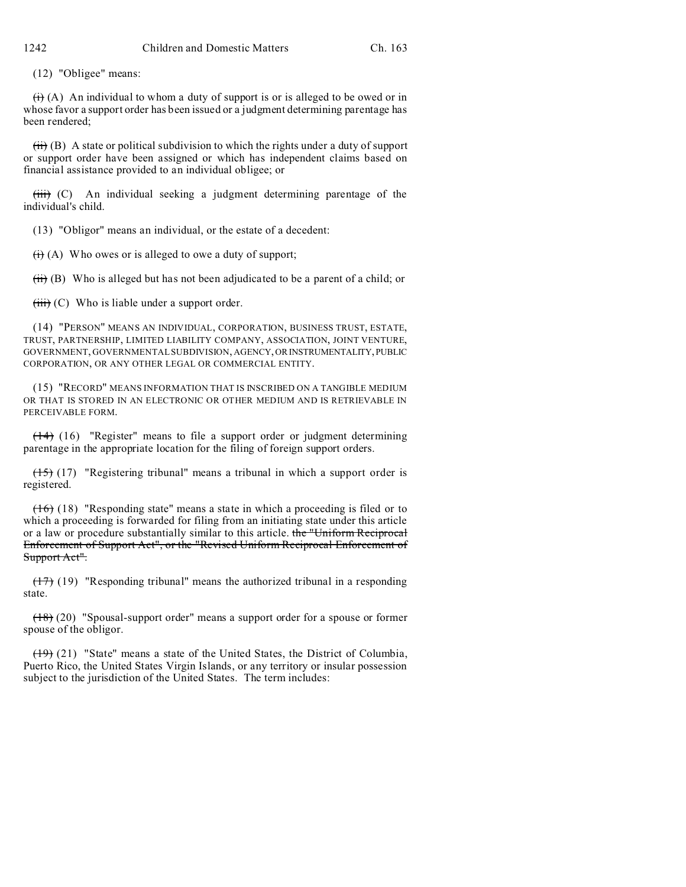(12) "Obligee" means:

 $(H)(A)$  An individual to whom a duty of support is or is alleged to be owed or in whose favor a support order has been issued or a judgment determining parentage has been rendered;

 $(ii)$  (B) A state or political subdivision to which the rights under a duty of support or support order have been assigned or which has independent claims based on financial assistance provided to an individual obligee; or

 $(iii)$  (C) An individual seeking a judgment determining parentage of the individual's child.

(13) "Obligor" means an individual, or the estate of a decedent:

 $(i)$  (A) Who owes or is alleged to owe a duty of support;

 $(ii)$  (B) Who is alleged but has not been adjudicated to be a parent of a child; or

 $(ii)$  (C) Who is liable under a support order.

(14) "PERSON" MEANS AN INDIVIDUAL, CORPORATION, BUSINESS TRUST, ESTATE, TRUST, PARTNERSHIP, LIMITED LIABILITY COMPANY, ASSOCIATION, JOINT VENTURE, GOVERNMENT, GOVERNMENTAL SUBDIVISION, AGENCY,ORINSTRUMENTALITY, PUBLIC CORPORATION, OR ANY OTHER LEGAL OR COMMERCIAL ENTITY.

(15) "RECORD" MEANS INFORMATION THAT IS INSCRIBED ON A TANGIBLE MEDIUM OR THAT IS STORED IN AN ELECTRONIC OR OTHER MEDIUM AND IS RETRIEVABLE IN PERCEIVABLE FORM.

(14) (16) "Register" means to file a support order or judgment determining parentage in the appropriate location for the filing of foreign support orders.

(15) (17) "Registering tribunal" means a tribunal in which a support order is registered.

(16) (18) "Responding state" means a state in which a proceeding is filed or to which a proceeding is forwarded for filing from an initiating state under this article or a law or procedure substantially similar to this article. the "Uniform Reciprocal Enforcement of Support Act", or the "Revised Uniform Reciprocal Enforcement of Support Act".

 $(17)$  (19) "Responding tribunal" means the authorized tribunal in a responding state.

(18) (20) "Spousal-support order" means a support order for a spouse or former spouse of the obligor.

(19) (21) "State" means a state of the United States, the District of Columbia, Puerto Rico, the United States Virgin Islands, or any territory or insular possession subject to the jurisdiction of the United States. The term includes: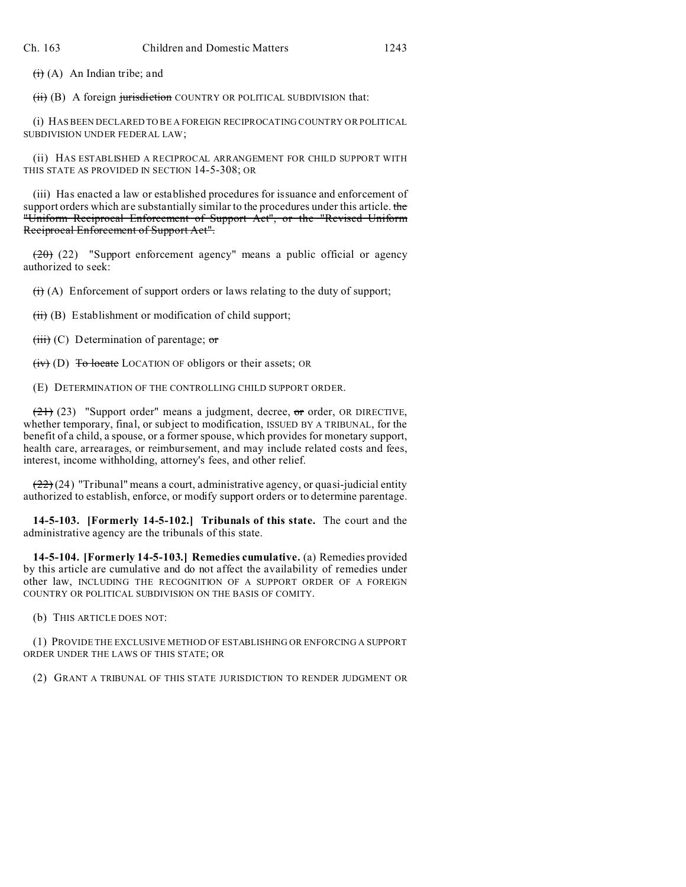$(i)$  (A) An Indian tribe; and

 $(ii)$  (B) A foreign jurisdiction COUNTRY OR POLITICAL SUBDIVISION that:

(i) HAS BEEN DECLARED TO BE A FOREIGN RECIPROCATING COUNTRY OR POLITICAL SUBDIVISION UNDER FEDERAL LAW;

(ii) HAS ESTABLISHED A RECIPROCAL ARRANGEMENT FOR CHILD SUPPORT WITH THIS STATE AS PROVIDED IN SECTION 14-5-308; OR

(iii) Has enacted a law or established procedures for issuance and enforcement of support orders which are substantially similar to the procedures under this article. the "Uniform Reciprocal Enforcement of Support Act", or the "Revised Uniform Reciprocal Enforcement of Support Act".

 $(20)$  (22) "Support enforcement agency" means a public official or agency authorized to seek:

 $\overrightarrow{(t)}$  (A) Enforcement of support orders or laws relating to the duty of support;

 $(ii)$  (B) Establishment or modification of child support;

 $(iii)$  (C) Determination of parentage; or

 $(iv)$  (D) To locate LOCATION OF obligors or their assets; OR

(E) DETERMINATION OF THE CONTROLLING CHILD SUPPORT ORDER.

 $(21)$  (23) "Support order" means a judgment, decree, or order, OR DIRECTIVE, whether temporary, final, or subject to modification, ISSUED BY A TRIBUNAL, for the benefit of a child, a spouse, or a former spouse, which provides for monetary support, health care, arrearages, or reimbursement, and may include related costs and fees, interest, income withholding, attorney's fees, and other relief.

 $(22)(24)$  "Tribunal" means a court, administrative agency, or quasi-judicial entity authorized to establish, enforce, or modify support orders or to determine parentage.

**14-5-103. [Formerly 14-5-102.] Tribunals of this state.** The court and the administrative agency are the tribunals of this state.

**14-5-104. [Formerly 14-5-103.] Remedies cumulative.** (a) Remedies provided by this article are cumulative and do not affect the availability of remedies under other law, INCLUDING THE RECOGNITION OF A SUPPORT ORDER OF A FOREIGN COUNTRY OR POLITICAL SUBDIVISION ON THE BASIS OF COMITY.

(b) THIS ARTICLE DOES NOT:

(1) PROVIDE THE EXCLUSIVE METHOD OF ESTABLISHING OR ENFORCING A SUPPORT ORDER UNDER THE LAWS OF THIS STATE; OR

(2) GRANT A TRIBUNAL OF THIS STATE JURISDICTION TO RENDER JUDGMENT OR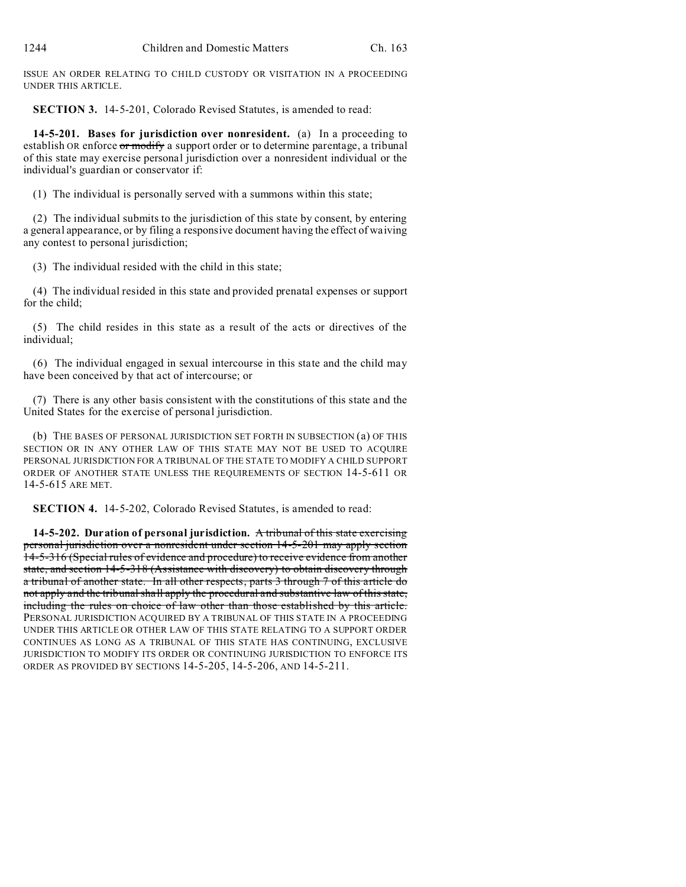ISSUE AN ORDER RELATING TO CHILD CUSTODY OR VISITATION IN A PROCEEDING UNDER THIS ARTICLE.

**SECTION 3.** 14-5-201, Colorado Revised Statutes, is amended to read:

**14-5-201. Bases for jurisdiction over nonresident.** (a) In a proceeding to establish OR enforce or modify a support order or to determine parentage, a tribunal of this state may exercise personal jurisdiction over a nonresident individual or the individual's guardian or conservator if:

(1) The individual is personally served with a summons within this state;

(2) The individual submits to the jurisdiction of this state by consent, by entering a general appearance, or by filing a responsive document having the effect of waiving any contest to personal jurisdiction;

(3) The individual resided with the child in this state;

(4) The individual resided in this state and provided prenatal expenses or support for the child;

(5) The child resides in this state as a result of the acts or directives of the individual;

(6) The individual engaged in sexual intercourse in this state and the child may have been conceived by that act of intercourse; or

(7) There is any other basis consistent with the constitutions of this state and the United States for the exercise of personal jurisdiction.

(b) THE BASES OF PERSONAL JURISDICTION SET FORTH IN SUBSECTION (a) OF THIS SECTION OR IN ANY OTHER LAW OF THIS STATE MAY NOT BE USED TO ACQUIRE PERSONAL JURISDICTION FOR A TRIBUNAL OF THE STATE TO MODIFY A CHILD SUPPORT ORDER OF ANOTHER STATE UNLESS THE REQUIREMENTS OF SECTION 14-5-611 OR 14-5-615 ARE MET.

**SECTION 4.** 14-5-202, Colorado Revised Statutes, is amended to read:

**14-5-202. Duration of personal jurisdiction.** A tribunal of this state exercising personal jurisdiction over a nonresident under section 14-5-201 may apply section 14-5-316 (Special rules of evidence and procedure) to receive evidence from another state, and section 14-5-318 (Assistance with discovery) to obtain discovery through a tribunal of another state. In all other respects, parts 3 through 7 of this article do not apply and the tribunal shall apply the procedural and substantive law of this state, including the rules on choice of law other than those established by this article. PERSONAL JURISDICTION ACQUIRED BY A TRIBUNAL OF THIS STATE IN A PROCEEDING UNDER THIS ARTICLE OR OTHER LAW OF THIS STATE RELATING TO A SUPPORT ORDER CONTINUES AS LONG AS A TRIBUNAL OF THIS STATE HAS CONTINUING, EXCLUSIVE JURISDICTION TO MODIFY ITS ORDER OR CONTINUING JURISDICTION TO ENFORCE ITS ORDER AS PROVIDED BY SECTIONS 14-5-205, 14-5-206, AND 14-5-211.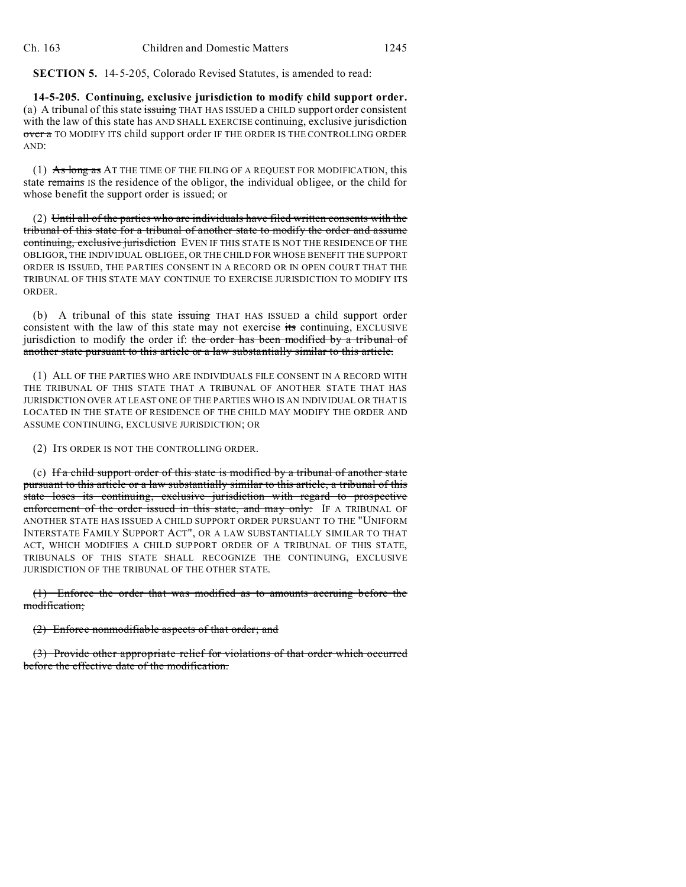**SECTION 5.** 14-5-205, Colorado Revised Statutes, is amended to read:

**14-5-205. Continuing, exclusive jurisdiction to modify child support order.** (a) A tribunal of this state issuing THAT HAS ISSUED a CHILD support order consistent with the law of this state has AND SHALL EXERCISE continuing, exclusive jurisdiction over a TO MODIFY ITS child support order IF THE ORDER IS THE CONTROLLING ORDER AND:

 $(1)$  As long as AT THE TIME OF THE FILING OF A REQUEST FOR MODIFICATION, this state remains IS the residence of the obligor, the individual obligee, or the child for whose benefit the support order is issued; or

(2) Until all of the parties who are individuals have filed written consents with the tribunal of this state for a tribunal of another state to modify the order and assume continuing, exclusive jurisdiction EVEN IF THIS STATE IS NOT THE RESIDENCE OF THE OBLIGOR, THE INDIVIDUAL OBLIGEE, OR THE CHILD FOR WHOSE BENEFIT THE SUPPORT ORDER IS ISSUED, THE PARTIES CONSENT IN A RECORD OR IN OPEN COURT THAT THE TRIBUNAL OF THIS STATE MAY CONTINUE TO EXERCISE JURISDICTION TO MODIFY ITS **ORDER** 

(b) A tribunal of this state issuing THAT HAS ISSUED a child support order consistent with the law of this state may not exercise its continuing, EXCLUSIVE jurisdiction to modify the order if: the order has been modified by a tribunal of another state pursuant to this article or a law substantially similar to this article.

(1) ALL OF THE PARTIES WHO ARE INDIVIDUALS FILE CONSENT IN A RECORD WITH THE TRIBUNAL OF THIS STATE THAT A TRIBUNAL OF ANOTHER STATE THAT HAS JURISDICTION OVER AT LEAST ONE OF THE PARTIES WHO IS AN INDIVIDUAL OR THAT IS LOCATED IN THE STATE OF RESIDENCE OF THE CHILD MAY MODIFY THE ORDER AND ASSUME CONTINUING, EXCLUSIVE JURISDICTION; OR

(2) ITS ORDER IS NOT THE CONTROLLING ORDER.

(c) If a child support order of this state is modified by a tribunal of another state pursuant to this article or a law substantially similar to this article, a tribunal of this state loses its continuing, exclusive jurisdiction with regard to prospective enforcement of the order issued in this state, and may only: IF A TRIBUNAL OF ANOTHER STATE HAS ISSUED A CHILD SUPPORT ORDER PURSUANT TO THE "UNIFORM INTERSTATE FAMILY SUPPORT ACT", OR A LAW SUBSTANTIALLY SIMILAR TO THAT ACT, WHICH MODIFIES A CHILD SUPPORT ORDER OF A TRIBUNAL OF THIS STATE, TRIBUNALS OF THIS STATE SHALL RECOGNIZE THE CONTINUING, EXCLUSIVE JURISDICTION OF THE TRIBUNAL OF THE OTHER STATE.

(1) Enforce the order that was modified as to amounts accruing before the modification;

(2) Enforce nonmodifiable aspects of that order; and

(3) Provide other appropriate relief for violations of that order which occurred before the effective date of the modification.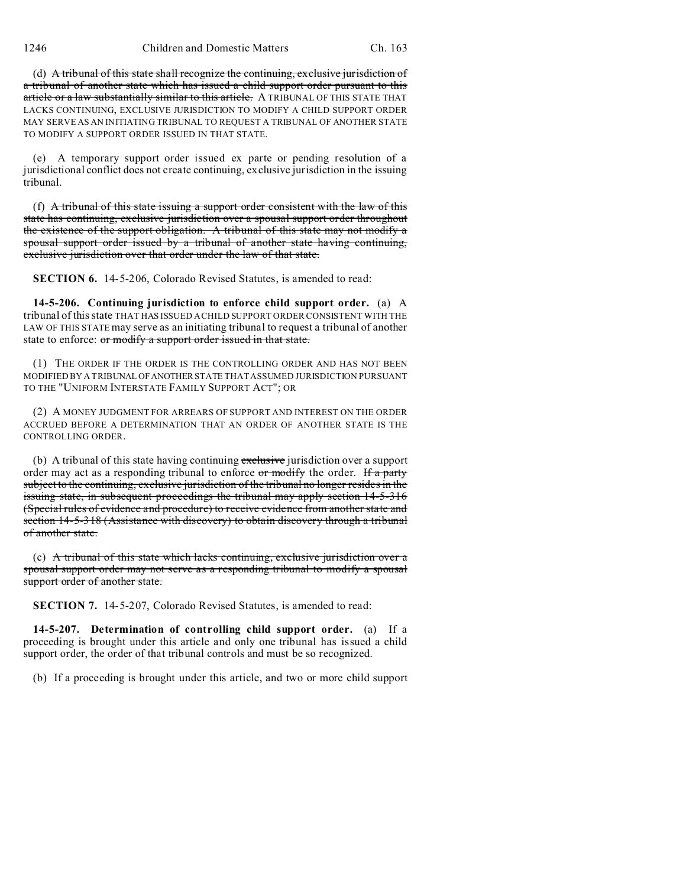(d) A tribunal of this state shall recognize the continuing, exclusive jurisdiction of a tribunal of another state which has issued a child support order pursuant to this article or a law substantially similar to this article. A TRIBUNAL OF THIS STATE THAT LACKS CONTINUING, EXCLUSIVE JURISDICTION TO MODIFY A CHILD SUPPORT ORDER MAY SERVE AS AN INITIATING TRIBUNAL TO REQUEST A TRIBUNAL OF ANOTHER STATE TO MODIFY A SUPPORT ORDER ISSUED IN THAT STATE.

(e) A temporary support order issued ex parte or pending resolution of a jurisdictional conflict does not create continuing, exclusive jurisdiction in the issuing tribunal.

(f) A tribunal of this state issuing a support order consistent with the law of this state has continuing, exclusive jurisdiction over a spousal support order throughout the existence of the support obligation. A tribunal of this state may not modify a spousal support order issued by a tribunal of another state having continuing, exclusive jurisdiction over that order under the law of that state.

**SECTION 6.** 14-5-206, Colorado Revised Statutes, is amended to read:

**14-5-206. Continuing jurisdiction to enforce child support order.** (a) A tribunal of this state THAT HAS ISSUED A CHILD SUPPORT ORDER CONSISTENT WITH THE LAW OF THIS STATE may serve as an initiating tribunal to request a tribunal of another state to enforce: or modify a support order issued in that state.

(1) THE ORDER IF THE ORDER IS THE CONTROLLING ORDER AND HAS NOT BEEN MODIFIED BY A TRIBUNAL OFANOTHER STATE THAT ASSUMED JURISDICTION PURSUANT TO THE "UNIFORM INTERSTATE FAMILY SUPPORT ACT"; OR

(2) A MONEY JUDGMENT FOR ARREARS OF SUPPORT AND INTEREST ON THE ORDER ACCRUED BEFORE A DETERMINATION THAT AN ORDER OF ANOTHER STATE IS THE CONTROLLING ORDER.

(b) A tribunal of this state having continuing exclusive jurisdiction over a support order may act as a responding tribunal to enforce  $\sigma r$  modify the order. If a party subject to the continuing, exclusive jurisdiction of the tribunal no longer resides in the issuing state, in subsequent proceedings the tribunal may apply section 14-5-316 (Special rules of evidence and procedure) to receive evidence from another state and section 14-5-318 (Assistance with discovery) to obtain discovery through a tribunal of another state.

(c) A tribunal of this state which lacks continuing, exclusive jurisdiction over a spousal support order may not serve as a responding tribunal to modify a spousal support order of another state.

**SECTION 7.** 14-5-207, Colorado Revised Statutes, is amended to read:

**14-5-207. Determination of controlling child support order.** (a) If a proceeding is brought under this article and only one tribunal has issued a child support order, the order of that tribunal controls and must be so recognized.

(b) If a proceeding is brought under this article, and two or more child support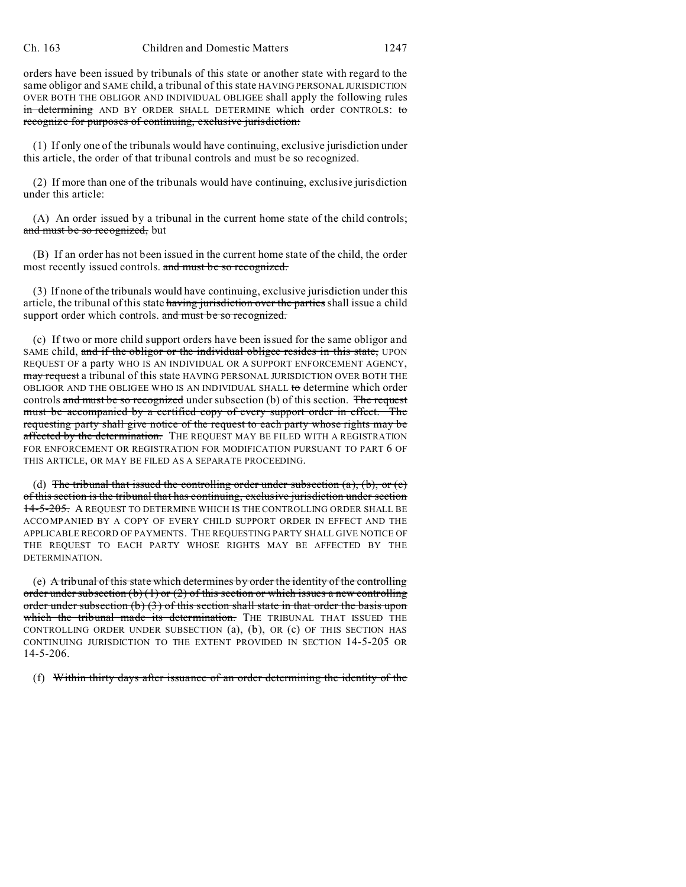orders have been issued by tribunals of this state or another state with regard to the same obligor and SAME child, a tribunal of this state HAVING PERSONAL JURISDICTION OVER BOTH THE OBLIGOR AND INDIVIDUAL OBLIGEE shall apply the following rules in determining AND BY ORDER SHALL DETERMINE which order CONTROLS: to recognize for purposes of continuing, exclusive jurisdiction:

(1) If only one of the tribunals would have continuing, exclusive jurisdiction under this article, the order of that tribunal controls and must be so recognized.

(2) If more than one of the tribunals would have continuing, exclusive jurisdiction under this article:

(A) An order issued by a tribunal in the current home state of the child controls; and must be so recognized, but

(B) If an order has not been issued in the current home state of the child, the order most recently issued controls. and must be so recognized.

(3) If none of the tribunals would have continuing, exclusive jurisdiction under this article, the tribunal of this state having jurisdiction over the parties shall issue a child support order which controls. and must be so recognized.

(c) If two or more child support orders have been issued for the same obligor and SAME child, and if the obligor or the individual obligee resides in this state, UPON REQUEST OF a party WHO IS AN INDIVIDUAL OR A SUPPORT ENFORCEMENT AGENCY, may request a tribunal of this state HAVING PERSONAL JURISDICTION OVER BOTH THE OBLIGOR AND THE OBLIGEE WHO IS AN INDIVIDUAL SHALL to determine which order controls and must be so recognized under subsection (b) of this section. The request must be accompanied by a certified copy of every support order in effect. The requesting party shall give notice of the request to each party whose rights may be affected by the determination. THE REQUEST MAY BE FILED WITH A REGISTRATION FOR ENFORCEMENT OR REGISTRATION FOR MODIFICATION PURSUANT TO PART 6 OF THIS ARTICLE, OR MAY BE FILED AS A SEPARATE PROCEEDING.

(d) The tribunal that issued the controlling order under subsection  $(a)$ ,  $(b)$ , or  $(c)$ of this section is the tribunal that has continuing, exclusive jurisdiction under section 14-5-205. A REQUEST TO DETERMINE WHICH IS THE CONTROLLING ORDER SHALL BE ACCOMPANIED BY A COPY OF EVERY CHILD SUPPORT ORDER IN EFFECT AND THE APPLICABLE RECORD OF PAYMENTS. THE REQUESTING PARTY SHALL GIVE NOTICE OF THE REQUEST TO EACH PARTY WHOSE RIGHTS MAY BE AFFECTED BY THE DETERMINATION.

(e) A tribunal of this state which determines by order the identity of the controlling order under subsection (b) (1) or (2) of this section or which issues a new controlling order under subsection (b)  $(3)$  of this section shall state in that order the basis upon which the tribunal made its determination. THE TRIBUNAL THAT ISSUED THE CONTROLLING ORDER UNDER SUBSECTION (a), (b), OR (c) OF THIS SECTION HAS CONTINUING JURISDICTION TO THE EXTENT PROVIDED IN SECTION 14-5-205 OR 14-5-206.

(f) Within thirty days after issuance of an order determining the identity of the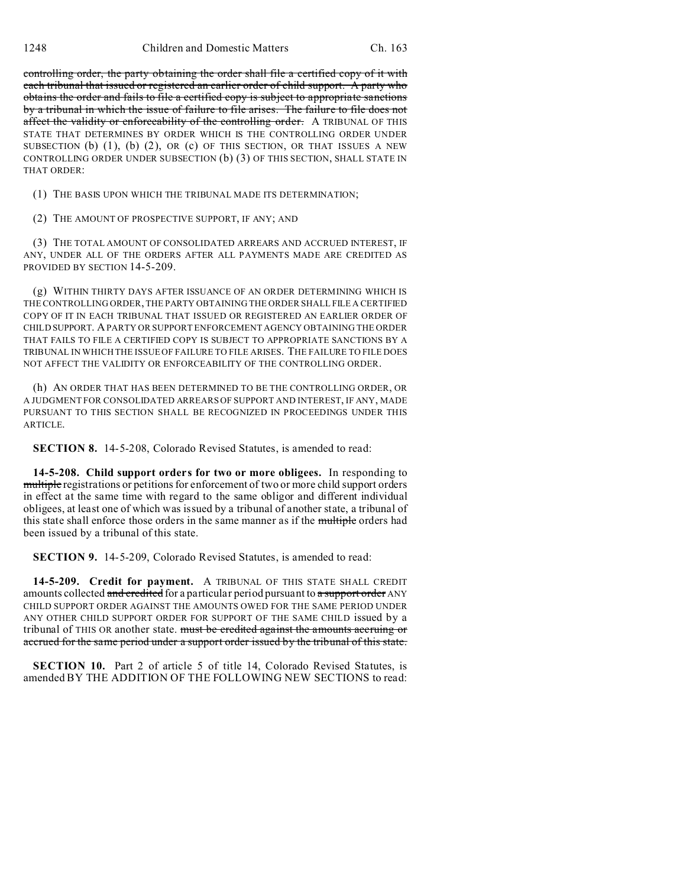controlling order, the party obtaining the order shall file a certified copy of it with each tribunal that issued or registered an earlier order of child support. A party who obtains the order and fails to file a certified copy is subject to appropriate sanctions by a tribunal in which the issue of failure to file arises. The failure to file does not affect the validity or enforceability of the controlling order. A TRIBUNAL OF THIS STATE THAT DETERMINES BY ORDER WHICH IS THE CONTROLLING ORDER UNDER SUBSECTION  $(b)$   $(1)$ ,  $(b)$   $(2)$ ,  $OR$   $(c)$   $OF$  THIS SECTION,  $OR$  THAT ISSUES A NEW CONTROLLING ORDER UNDER SUBSECTION (b) (3) OF THIS SECTION, SHALL STATE IN THAT ORDER:

(1) THE BASIS UPON WHICH THE TRIBUNAL MADE ITS DETERMINATION;

(2) THE AMOUNT OF PROSPECTIVE SUPPORT, IF ANY; AND

(3) THE TOTAL AMOUNT OF CONSOLIDATED ARREARS AND ACCRUED INTEREST, IF ANY, UNDER ALL OF THE ORDERS AFTER ALL PAYMENTS MADE ARE CREDITED AS PROVIDED BY SECTION 14-5-209.

(g) WITHIN THIRTY DAYS AFTER ISSUANCE OF AN ORDER DETERMINING WHICH IS THE CONTROLLING ORDER, THE PARTY OBTAINING THE ORDER SHALL FILE A CERTIFIED COPY OF IT IN EACH TRIBUNAL THAT ISSUED OR REGISTERED AN EARLIER ORDER OF CHILD SUPPORT. APARTY OR SUPPORT ENFORCEMENT AGENCY OBTAINING THE ORDER THAT FAILS TO FILE A CERTIFIED COPY IS SUBJECT TO APPROPRIATE SANCTIONS BY A TRIBUNAL IN WHICH THE ISSUE OF FAILURE TO FILE ARISES. THE FAILURE TO FILE DOES NOT AFFECT THE VALIDITY OR ENFORCEABILITY OF THE CONTROLLING ORDER.

(h) AN ORDER THAT HAS BEEN DETERMINED TO BE THE CONTROLLING ORDER, OR A JUDGMENT FOR CONSOLIDATED ARREARS OF SUPPORT AND INTEREST, IF ANY, MADE PURSUANT TO THIS SECTION SHALL BE RECOGNIZED IN PROCEEDINGS UNDER THIS ARTICLE.

**SECTION 8.** 14-5-208, Colorado Revised Statutes, is amended to read:

**14-5-208. Child support orders for two or more obligees.** In responding to multiple registrations or petitions for enforcement of two or more child support orders in effect at the same time with regard to the same obligor and different individual obligees, at least one of which was issued by a tribunal of another state, a tribunal of this state shall enforce those orders in the same manner as if the multiple orders had been issued by a tribunal of this state.

**SECTION 9.** 14-5-209, Colorado Revised Statutes, is amended to read:

**14-5-209. Credit for payment.** A TRIBUNAL OF THIS STATE SHALL CREDIT amounts collected and credited for a particular period pursuant to a support order ANY CHILD SUPPORT ORDER AGAINST THE AMOUNTS OWED FOR THE SAME PERIOD UNDER ANY OTHER CHILD SUPPORT ORDER FOR SUPPORT OF THE SAME CHILD issued by a tribunal of THIS OR another state. must be credited against the amounts accruing or accrued for the same period under a support order issued by the tribunal of this state.

**SECTION 10.** Part 2 of article 5 of title 14, Colorado Revised Statutes, is amended BY THE ADDITION OF THE FOLLOWING NEW SECTIONS to read: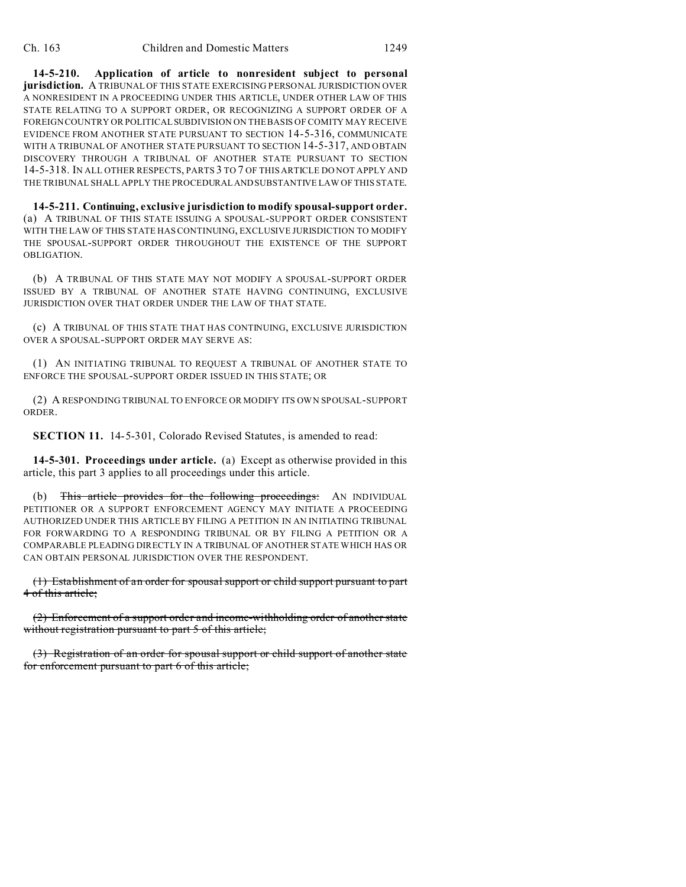**14-5-210. Application of article to nonresident subject to personal jurisdiction.** A TRIBUNAL OF THIS STATE EXERCISING PERSONAL JURISDICTION OVER A NONRESIDENT IN A PROCEEDING UNDER THIS ARTICLE, UNDER OTHER LAW OF THIS STATE RELATING TO A SUPPORT ORDER, OR RECOGNIZING A SUPPORT ORDER OF A FOREIGN COUNTRY OR POLITICAL SUBDIVISION ON THE BASIS OF COMITY MAY RECEIVE EVIDENCE FROM ANOTHER STATE PURSUANT TO SECTION 14-5-316, COMMUNICATE WITH A TRIBUNAL OF ANOTHER STATE PURSUANT TO SECTION 14-5-317, AND OBTAIN DISCOVERY THROUGH A TRIBUNAL OF ANOTHER STATE PURSUANT TO SECTION 14-5-318. IN ALL OTHER RESPECTS, PARTS 3 TO 7 OF THIS ARTICLE DO NOT APPLY AND THE TRIBUNAL SHALL APPLY THE PROCEDURALAND SUBSTANTIVE LAW OF THIS STATE.

**14-5-211. Continuing, exclusive jurisdiction to modify spousal-support order.** (a) A TRIBUNAL OF THIS STATE ISSUING A SPOUSAL-SUPPORT ORDER CONSISTENT WITH THE LAW OF THIS STATE HAS CONTINUING, EXCLUSIVE JURISDICTION TO MODIFY THE SPOUSAL-SUPPORT ORDER THROUGHOUT THE EXISTENCE OF THE SUPPORT OBLIGATION.

(b) A TRIBUNAL OF THIS STATE MAY NOT MODIFY A SPOUSAL-SUPPORT ORDER ISSUED BY A TRIBUNAL OF ANOTHER STATE HAVING CONTINUING, EXCLUSIVE JURISDICTION OVER THAT ORDER UNDER THE LAW OF THAT STATE.

(c) A TRIBUNAL OF THIS STATE THAT HAS CONTINUING, EXCLUSIVE JURISDICTION OVER A SPOUSAL-SUPPORT ORDER MAY SERVE AS:

(1) AN INITIATING TRIBUNAL TO REQUEST A TRIBUNAL OF ANOTHER STATE TO ENFORCE THE SPOUSAL-SUPPORT ORDER ISSUED IN THIS STATE; OR

(2) A RESPONDING TRIBUNAL TO ENFORCE OR MODIFY ITS OWN SPOUSAL-SUPPORT ORDER.

**SECTION 11.** 14-5-301, Colorado Revised Statutes, is amended to read:

**14-5-301. Proceedings under article.** (a) Except as otherwise provided in this article, this part 3 applies to all proceedings under this article.

(b) This article provides for the following proceedings: AN INDIVIDUAL PETITIONER OR A SUPPORT ENFORCEMENT AGENCY MAY INITIATE A PROCEEDING AUTHORIZED UNDER THIS ARTICLE BY FILING A PETITION IN AN INITIATING TRIBUNAL FOR FORWARDING TO A RESPONDING TRIBUNAL OR BY FILING A PETITION OR A COMPARABLE PLEADING DIRECTLY IN A TRIBUNAL OF ANOTHER STATE WHICH HAS OR CAN OBTAIN PERSONAL JURISDICTION OVER THE RESPONDENT.

(1) Establishment of an order for spousal support or child support pursuant to part 4 of this article;

(2) Enforcement of a support order and income-withholding order of another state without registration pursuant to part 5 of this article;

(3) Registration of an order for spousal support or child support of another state for enforcement pursuant to part 6 of this article;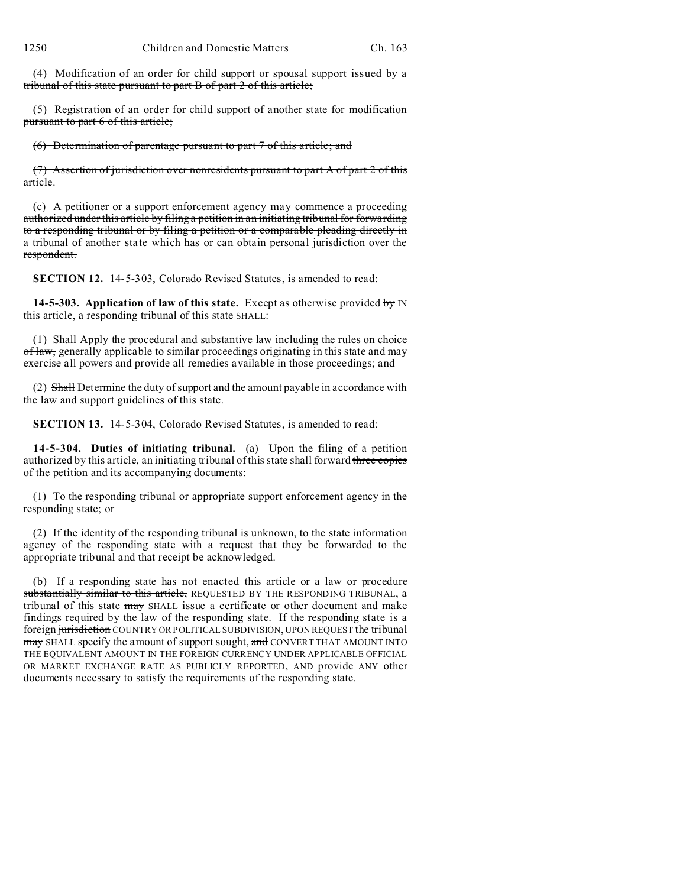(4) Modification of an order for child support or spousal support issued by a tribunal of this state pursuant to part B of part 2 of this article;

(5) Registration of an order for child support of another state for modification pursuant to part 6 of this article;

(6) Determination of parentage pursuant to part 7 of this article; and

(7) Assertion of jurisdiction over nonresidents pursuant to part A of part 2 of this article.

(c) A petitioner or a support enforcement agency may commence a proceeding authorized under this article by filing a petition in an initiating tribunal for forwarding to a responding tribunal or by filing a petition or a comparable pleading directly in a tribunal of another state which has or can obtain personal jurisdiction over the respondent.

**SECTION 12.** 14-5-303, Colorado Revised Statutes, is amended to read:

**14-5-303. Application of law of this state.** Except as otherwise provided by IN this article, a responding tribunal of this state SHALL:

(1) Shall Apply the procedural and substantive law including the rules on choice of law, generally applicable to similar proceedings originating in this state and may exercise all powers and provide all remedies available in those proceedings; and

(2) Shall Determine the duty of support and the amount payable in accordance with the law and support guidelines of this state.

**SECTION 13.** 14-5-304, Colorado Revised Statutes, is amended to read:

**14-5-304. Duties of initiating tribunal.** (a) Upon the filing of a petition authorized by this article, an initiating tribunal of this state shall forward three copies of the petition and its accompanying documents:

(1) To the responding tribunal or appropriate support enforcement agency in the responding state; or

(2) If the identity of the responding tribunal is unknown, to the state information agency of the responding state with a request that they be forwarded to the appropriate tribunal and that receipt be acknowledged.

(b) If a responding state has not enacted this article or a law or procedure substantially similar to this article, REQUESTED BY THE RESPONDING TRIBUNAL, a tribunal of this state may SHALL issue a certificate or other document and make findings required by the law of the responding state. If the responding state is a foreign jurisdiction COUNTRY OR POLITICAL SUBDIVISION, UPON REQUEST the tribunal may SHALL specify the amount of support sought, and CONVERT THAT AMOUNT INTO THE EQUIVALENT AMOUNT IN THE FOREIGN CURRENCY UNDER APPLICABLE OFFICIAL OR MARKET EXCHANGE RATE AS PUBLICLY REPORTED, AND provide ANY other documents necessary to satisfy the requirements of the responding state.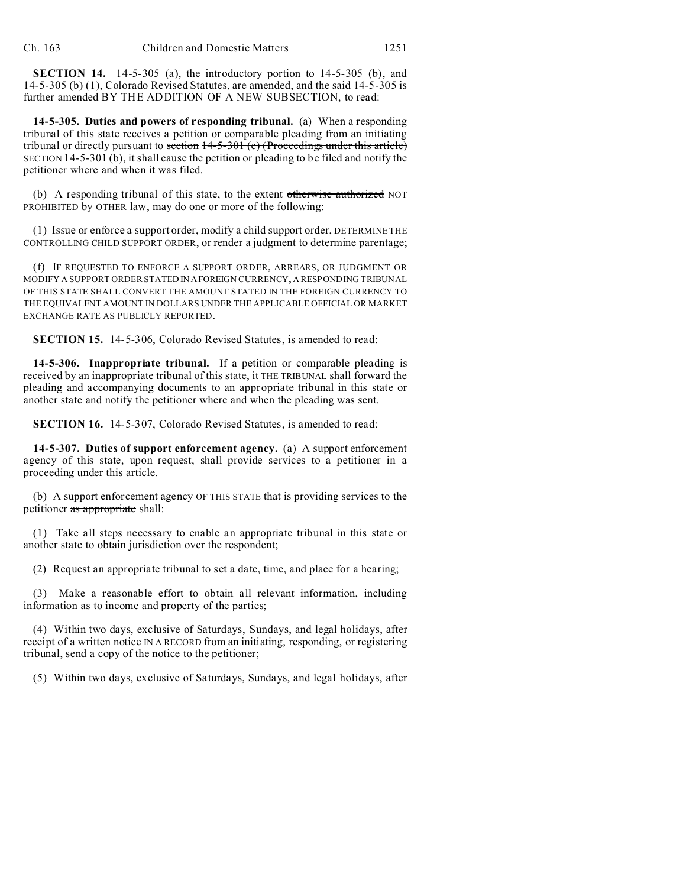**SECTION 14.** 14-5-305 (a), the introductory portion to 14-5-305 (b), and 14-5-305 (b) (1), Colorado Revised Statutes, are amended, and the said 14-5-305 is further amended BY THE ADDITION OF A NEW SUBSECTION, to read:

**14-5-305. Duties and powers of responding tribunal.** (a) When a responding tribunal of this state receives a petition or comparable pleading from an initiating tribunal or directly pursuant to section  $14-5-301$  (c) (Proceedings under this article) SECTION 14-5-301 (b), it shall cause the petition or pleading to be filed and notify the petitioner where and when it was filed.

(b) A responding tribunal of this state, to the extent otherwise authorized NOT PROHIBITED by OTHER law, may do one or more of the following:

(1) Issue or enforce a support order, modify a child support order, DETERMINE THE CONTROLLING CHILD SUPPORT ORDER, or render a judgment to determine parentage;

(f) IF REQUESTED TO ENFORCE A SUPPORT ORDER, ARREARS, OR JUDGMENT OR MODIFY A SUPPORT ORDER STATED IN AFOREIGN CURRENCY, A RESPONDING TRIBUNAL OF THIS STATE SHALL CONVERT THE AMOUNT STATED IN THE FOREIGN CURRENCY TO THE EQUIVALENT AMOUNT IN DOLLARS UNDER THE APPLICABLE OFFICIAL OR MARKET EXCHANGE RATE AS PUBLICLY REPORTED.

**SECTION 15.** 14-5-306, Colorado Revised Statutes, is amended to read:

**14-5-306. Inappropriate tribunal.** If a petition or comparable pleading is received by an inappropriate tribunal of this state, it THE TRIBUNAL shall forward the pleading and accompanying documents to an appropriate tribunal in this state or another state and notify the petitioner where and when the pleading was sent.

**SECTION 16.** 14-5-307, Colorado Revised Statutes, is amended to read:

**14-5-307. Duties of support enforcement agency.** (a) A support enforcement agency of this state, upon request, shall provide services to a petitioner in a proceeding under this article.

(b) A support enforcement agency OF THIS STATE that is providing services to the petitioner as appropriate shall:

(1) Take all steps necessary to enable an appropriate tribunal in this state or another state to obtain jurisdiction over the respondent;

(2) Request an appropriate tribunal to set a date, time, and place for a hearing;

(3) Make a reasonable effort to obtain all relevant information, including information as to income and property of the parties;

(4) Within two days, exclusive of Saturdays, Sundays, and legal holidays, after receipt of a written notice IN A RECORD from an initiating, responding, or registering tribunal, send a copy of the notice to the petitioner;

(5) Within two days, exclusive of Saturdays, Sundays, and legal holidays, after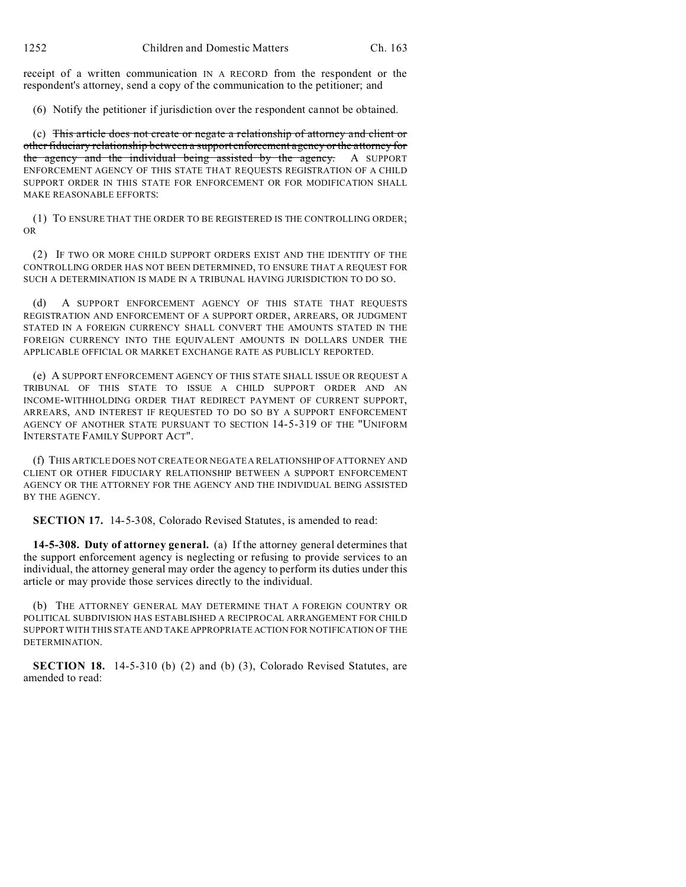receipt of a written communication IN A RECORD from the respondent or the respondent's attorney, send a copy of the communication to the petitioner; and

(6) Notify the petitioner if jurisdiction over the respondent cannot be obtained.

(c) This article does not create or negate a relationship of attorney and client or other fiduciary relationship between a support enforcement agency or the attorney for the agency and the individual being assisted by the agency. A SUPPORT ENFORCEMENT AGENCY OF THIS STATE THAT REQUESTS REGISTRATION OF A CHILD SUPPORT ORDER IN THIS STATE FOR ENFORCEMENT OR FOR MODIFICATION SHALL MAKE REASONABLE EFFORTS:

(1) TO ENSURE THAT THE ORDER TO BE REGISTERED IS THE CONTROLLING ORDER; OR

(2) IF TWO OR MORE CHILD SUPPORT ORDERS EXIST AND THE IDENTITY OF THE CONTROLLING ORDER HAS NOT BEEN DETERMINED, TO ENSURE THAT A REQUEST FOR SUCH A DETERMINATION IS MADE IN A TRIBUNAL HAVING JURISDICTION TO DO SO.

(d) A SUPPORT ENFORCEMENT AGENCY OF THIS STATE THAT REQUESTS REGISTRATION AND ENFORCEMENT OF A SUPPORT ORDER, ARREARS, OR JUDGMENT STATED IN A FOREIGN CURRENCY SHALL CONVERT THE AMOUNTS STATED IN THE FOREIGN CURRENCY INTO THE EQUIVALENT AMOUNTS IN DOLLARS UNDER THE APPLICABLE OFFICIAL OR MARKET EXCHANGE RATE AS PUBLICLY REPORTED.

(e) A SUPPORT ENFORCEMENT AGENCY OF THIS STATE SHALL ISSUE OR REQUEST A TRIBUNAL OF THIS STATE TO ISSUE A CHILD SUPPORT ORDER AND AN INCOME-WITHHOLDING ORDER THAT REDIRECT PAYMENT OF CURRENT SUPPORT, ARREARS, AND INTEREST IF REQUESTED TO DO SO BY A SUPPORT ENFORCEMENT AGENCY OF ANOTHER STATE PURSUANT TO SECTION 14-5-319 OF THE "UNIFORM INTERSTATE FAMILY SUPPORT ACT".

(f) THIS ARTICLE DOES NOT CREATE OR NEGATE A RELATIONSHIP OF ATTORNEY AND CLIENT OR OTHER FIDUCIARY RELATIONSHIP BETWEEN A SUPPORT ENFORCEMENT AGENCY OR THE ATTORNEY FOR THE AGENCY AND THE INDIVIDUAL BEING ASSISTED BY THE AGENCY.

**SECTION 17.** 14-5-308, Colorado Revised Statutes, is amended to read:

**14-5-308. Duty of attorney general.** (a) If the attorney general determines that the support enforcement agency is neglecting or refusing to provide services to an individual, the attorney general may order the agency to perform its duties under this article or may provide those services directly to the individual.

(b) THE ATTORNEY GENERAL MAY DETERMINE THAT A FOREIGN COUNTRY OR POLITICAL SUBDIVISION HAS ESTABLISHED A RECIPROCAL ARRANGEMENT FOR CHILD SUPPORT WITH THIS STATE AND TAKE APPROPRIATE ACTION FOR NOTIFICATION OF THE DETERMINATION.

**SECTION 18.** 14-5-310 (b) (2) and (b) (3), Colorado Revised Statutes, are amended to read: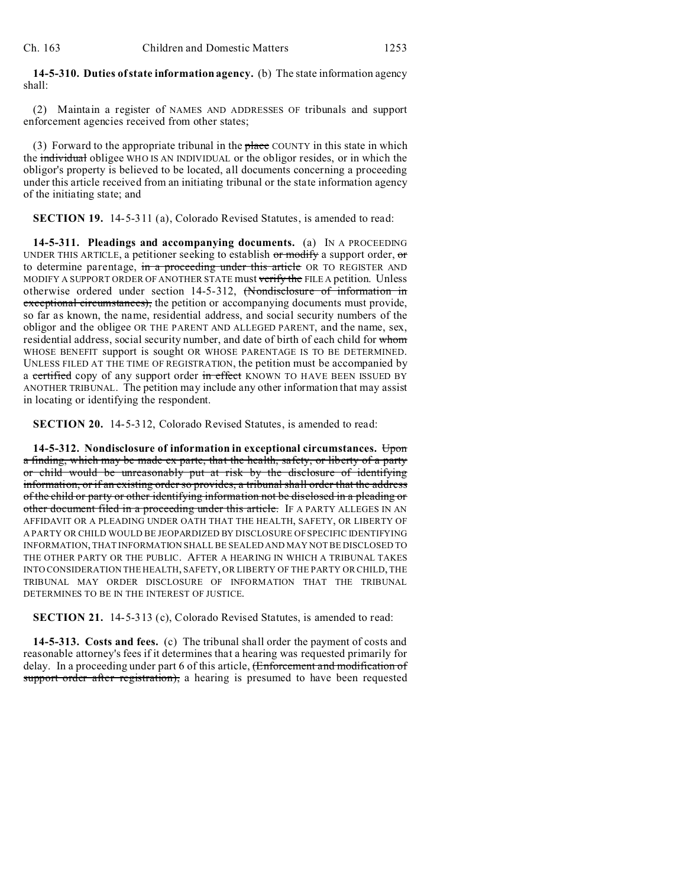**14-5-310. Duties of state information agency.** (b) The state information agency shall:

(2) Maintain a register of NAMES AND ADDRESSES OF tribunals and support enforcement agencies received from other states;

(3) Forward to the appropriate tribunal in the  $\theta$  place COUNTY in this state in which the individual obligee WHO IS AN INDIVIDUAL or the obligor resides, or in which the obligor's property is believed to be located, all documents concerning a proceeding under this article received from an initiating tribunal or the state information agency of the initiating state; and

**SECTION 19.** 14-5-311 (a), Colorado Revised Statutes, is amended to read:

**14-5-311. Pleadings and accompanying documents.** (a) IN A PROCEEDING UNDER THIS ARTICLE, a petitioner seeking to establish or modify a support order, or to determine parentage, in a proceeding under this article OR TO REGISTER AND MODIFY A SUPPORT ORDER OF ANOTHER STATE must verify the FILE A petition. Unless otherwise ordered under section 14-5-312, (Nondisclosure of information in exceptional circumstances), the petition or accompanying documents must provide, so far as known, the name, residential address, and social security numbers of the obligor and the obligee OR THE PARENT AND ALLEGED PARENT, and the name, sex, residential address, social security number, and date of birth of each child for whom WHOSE BENEFIT support is sought OR WHOSE PARENTAGE IS TO BE DETERMINED. UNLESS FILED AT THE TIME OF REGISTRATION, the petition must be accompanied by a certified copy of any support order in effect KNOWN TO HAVE BEEN ISSUED BY ANOTHER TRIBUNAL. The petition may include any other information that may assist in locating or identifying the respondent.

**SECTION 20.** 14-5-312, Colorado Revised Statutes, is amended to read:

**14-5-312. Nondisclosure of information in exceptional circumstances.** Upon a finding, which may be made ex parte, that the health, safety, or liberty of a party or child would be unreasonably put at risk by the disclosure of identifying information, or if an existing order so provides, a tribunal shall order that the address of the child or party or other identifying information not be disclosed in a pleading or other document filed in a proceeding under this article. IF A PARTY ALLEGES IN AN AFFIDAVIT OR A PLEADING UNDER OATH THAT THE HEALTH, SAFETY, OR LIBERTY OF A PARTY OR CHILD WOULD BE JEOPARDIZED BY DISCLOSURE OF SPECIFIC IDENTIFYING INFORMATION, THAT INFORMATION SHALL BE SEALED AND MAY NOT BE DISCLOSED TO THE OTHER PARTY OR THE PUBLIC. AFTER A HEARING IN WHICH A TRIBUNAL TAKES INTO CONSIDERATION THE HEALTH, SAFETY, OR LIBERTY OF THE PARTY OR CHILD, THE TRIBUNAL MAY ORDER DISCLOSURE OF INFORMATION THAT THE TRIBUNAL DETERMINES TO BE IN THE INTEREST OF JUSTICE.

**SECTION 21.** 14-5-313 (c), Colorado Revised Statutes, is amended to read:

**14-5-313. Costs and fees.** (c) The tribunal shall order the payment of costs and reasonable attorney's fees if it determines that a hearing was requested primarily for delay. In a proceeding under part 6 of this article, (Enforcement and modification of support order after registration), a hearing is presumed to have been requested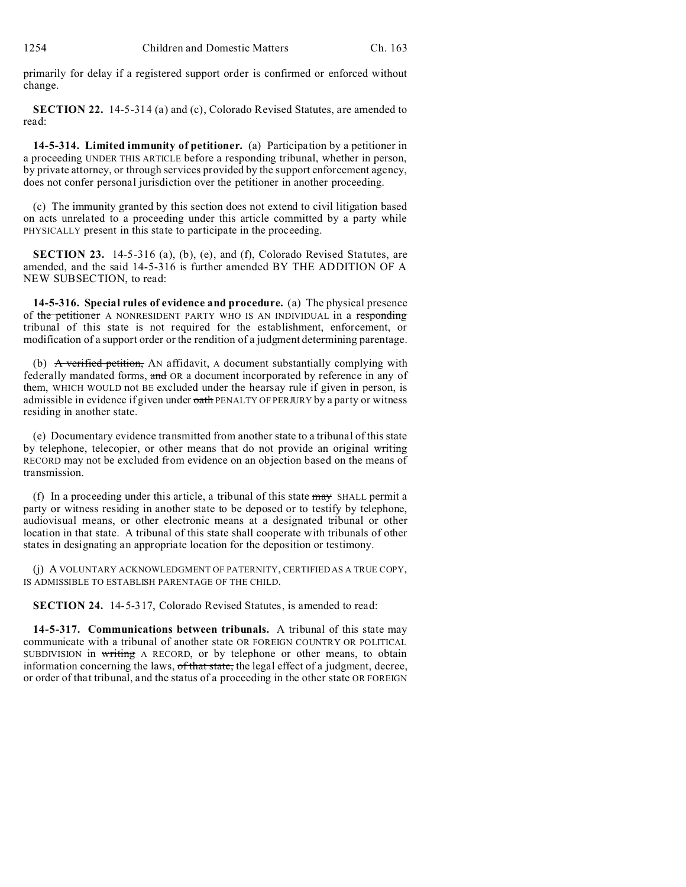primarily for delay if a registered support order is confirmed or enforced without change.

**SECTION 22.** 14-5-314 (a) and (c), Colorado Revised Statutes, are amended to read:

**14-5-314. Limited immunity of petitioner.** (a) Participation by a petitioner in a proceeding UNDER THIS ARTICLE before a responding tribunal, whether in person, by private attorney, or through services provided by the support enforcement agency, does not confer personal jurisdiction over the petitioner in another proceeding.

(c) The immunity granted by this section does not extend to civil litigation based on acts unrelated to a proceeding under this article committed by a party while PHYSICALLY present in this state to participate in the proceeding.

**SECTION 23.** 14-5-316 (a), (b), (e), and (f), Colorado Revised Statutes, are amended, and the said 14-5-316 is further amended BY THE ADDITION OF A NEW SUBSECTION, to read:

**14-5-316. Special rules of evidence and procedure.** (a) The physical presence of the petitioner A NONRESIDENT PARTY WHO IS AN INDIVIDUAL in a responding tribunal of this state is not required for the establishment, enforcement, or modification of a support order or the rendition of a judgment determining parentage.

(b)  $\overrightarrow{A}$  verified petition, AN affidavit, A document substantially complying with federally mandated forms, and OR a document incorporated by reference in any of them, WHICH WOULD not BE excluded under the hearsay rule if given in person, is admissible in evidence if given under oath PENALTY OF PERJURY by a party or witness residing in another state.

(e) Documentary evidence transmitted from another state to a tribunal of this state by telephone, telecopier, or other means that do not provide an original writing RECORD may not be excluded from evidence on an objection based on the means of transmission.

(f) In a proceeding under this article, a tribunal of this state  $\frac{m}{xy}$  SHALL permit a party or witness residing in another state to be deposed or to testify by telephone, audiovisual means, or other electronic means at a designated tribunal or other location in that state. A tribunal of this state shall cooperate with tribunals of other states in designating an appropriate location for the deposition or testimony.

(j) A VOLUNTARY ACKNOWLEDGMENT OF PATERNITY, CERTIFIED AS A TRUE COPY, IS ADMISSIBLE TO ESTABLISH PARENTAGE OF THE CHILD.

**SECTION 24.** 14-5-317, Colorado Revised Statutes, is amended to read:

**14-5-317. Communications between tribunals.** A tribunal of this state may communicate with a tribunal of another state OR FOREIGN COUNTRY OR POLITICAL SUBDIVISION in writing A RECORD, or by telephone or other means, to obtain information concerning the laws, of that state, the legal effect of a judgment, decree, or order of that tribunal, and the status of a proceeding in the other state OR FOREIGN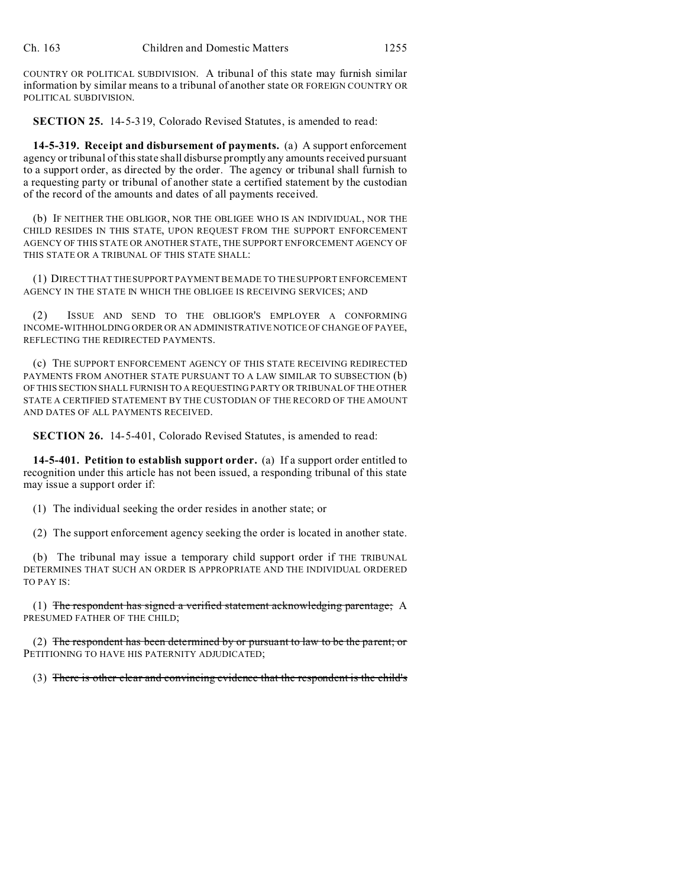COUNTRY OR POLITICAL SUBDIVISION. A tribunal of this state may furnish similar information by similar means to a tribunal of another state OR FOREIGN COUNTRY OR POLITICAL SUBDIVISION.

**SECTION 25.** 14-5-319, Colorado Revised Statutes, is amended to read:

**14-5-319. Receipt and disbursement of payments.** (a) A support enforcement agency or tribunal of this state shall disburse promptly any amounts received pursuant to a support order, as directed by the order. The agency or tribunal shall furnish to a requesting party or tribunal of another state a certified statement by the custodian of the record of the amounts and dates of all payments received.

(b) IF NEITHER THE OBLIGOR, NOR THE OBLIGEE WHO IS AN INDIVIDUAL, NOR THE CHILD RESIDES IN THIS STATE, UPON REQUEST FROM THE SUPPORT ENFORCEMENT AGENCY OF THIS STATE OR ANOTHER STATE, THE SUPPORT ENFORCEMENT AGENCY OF THIS STATE OR A TRIBUNAL OF THIS STATE SHALL:

(1) DIRECT THAT THE SUPPORT PAYMENT BE MADE TO THE SUPPORT ENFORCEMENT AGENCY IN THE STATE IN WHICH THE OBLIGEE IS RECEIVING SERVICES; AND

(2) ISSUE AND SEND TO THE OBLIGOR'S EMPLOYER A CONFORMING INCOME-WITHHOLDING ORDER OR AN ADMINISTRATIVE NOTICE OF CHANGE OF PAYEE, REFLECTING THE REDIRECTED PAYMENTS.

(c) THE SUPPORT ENFORCEMENT AGENCY OF THIS STATE RECEIVING REDIRECTED PAYMENTS FROM ANOTHER STATE PURSUANT TO A LAW SIMILAR TO SUBSECTION (b) OF THIS SECTION SHALL FURNISH TO A REQUESTING PARTY OR TRIBUNAL OF THE OTHER STATE A CERTIFIED STATEMENT BY THE CUSTODIAN OF THE RECORD OF THE AMOUNT AND DATES OF ALL PAYMENTS RECEIVED.

**SECTION 26.** 14-5-401, Colorado Revised Statutes, is amended to read:

**14-5-401. Petition to establish support order.** (a) If a support order entitled to recognition under this article has not been issued, a responding tribunal of this state may issue a support order if:

(1) The individual seeking the order resides in another state; or

(2) The support enforcement agency seeking the order is located in another state.

(b) The tribunal may issue a temporary child support order if THE TRIBUNAL DETERMINES THAT SUCH AN ORDER IS APPROPRIATE AND THE INDIVIDUAL ORDERED TO PAY IS:

(1) The respondent has signed a verified statement acknowledging parentage; A PRESUMED FATHER OF THE CHILD;

(2) The respondent has been determined by or pursuant to law to be the parent; or PETITIONING TO HAVE HIS PATERNITY ADJUDICATED;

(3) There is other clear and convincing evidence that the respondent is the child's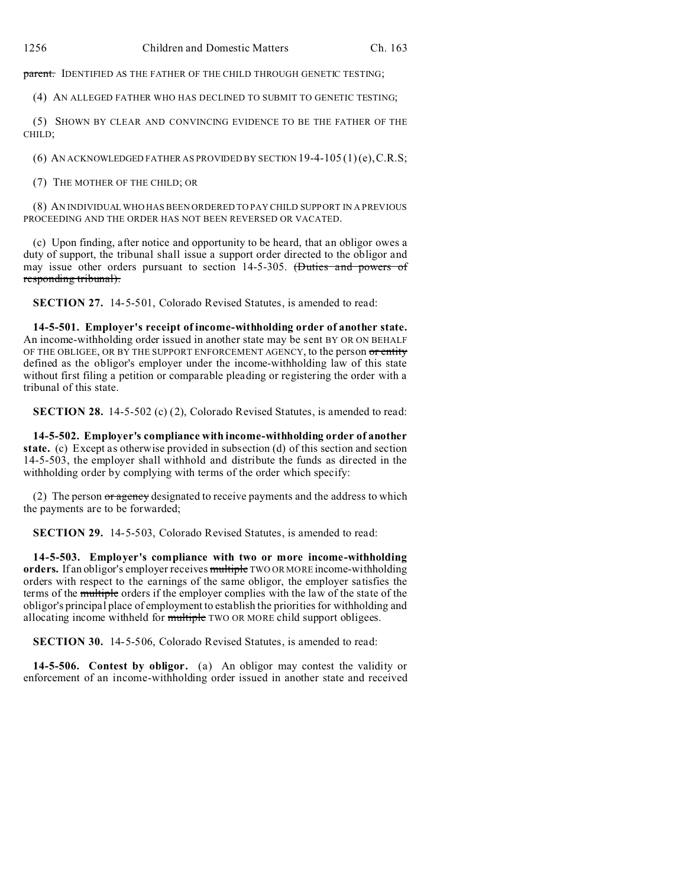parent. IDENTIFIED AS THE FATHER OF THE CHILD THROUGH GENETIC TESTING;

(4) AN ALLEGED FATHER WHO HAS DECLINED TO SUBMIT TO GENETIC TESTING;

(5) SHOWN BY CLEAR AND CONVINCING EVIDENCE TO BE THE FATHER OF THE CHILD;

(6) AN ACKNOWLEDGED FATHER AS PROVIDED BY SECTION  $19-4-105(1)$  (e), C.R.S;

(7) THE MOTHER OF THE CHILD; OR

(8) AN INDIVIDUAL WHO HAS BEEN ORDERED TO PAY CHILD SUPPORT IN A PREVIOUS PROCEEDING AND THE ORDER HAS NOT BEEN REVERSED OR VACATED.

(c) Upon finding, after notice and opportunity to be heard, that an obligor owes a duty of support, the tribunal shall issue a support order directed to the obligor and may issue other orders pursuant to section 14-5-305. (Duties and powers of responding tribunal).

**SECTION 27.** 14-5-501, Colorado Revised Statutes, is amended to read:

**14-5-501. Employer's receipt of income-withholding order of another state.** An income-withholding order issued in another state may be sent BY OR ON BEHALF OF THE OBLIGEE, OR BY THE SUPPORT ENFORCEMENT AGENCY, to the person or entity defined as the obligor's employer under the income-withholding law of this state without first filing a petition or comparable pleading or registering the order with a tribunal of this state.

**SECTION 28.** 14-5-502 (c) (2), Colorado Revised Statutes, is amended to read:

**14-5-502. Employer's compliance with income-withholding order of another state.** (c) Except as otherwise provided in subsection (d) of this section and section 14-5-503, the employer shall withhold and distribute the funds as directed in the withholding order by complying with terms of the order which specify:

(2) The person or agency designated to receive payments and the address to which the payments are to be forwarded;

**SECTION 29.** 14-5-503, Colorado Revised Statutes, is amended to read:

**14-5-503. Employer's compliance with two or more income-withholding orders.** If an obligor's employer receives multiple TWO OR MORE income-withholding orders with respect to the earnings of the same obligor, the employer satisfies the terms of the multiple orders if the employer complies with the law of the state of the obligor's principal place of employment to establish the priorities for withholding and allocating income withheld for multiple TWO OR MORE child support obligees.

**SECTION 30.** 14-5-506, Colorado Revised Statutes, is amended to read:

**14-5-506. Contest by obligor.** (a) An obligor may contest the validity or enforcement of an income-withholding order issued in another state and received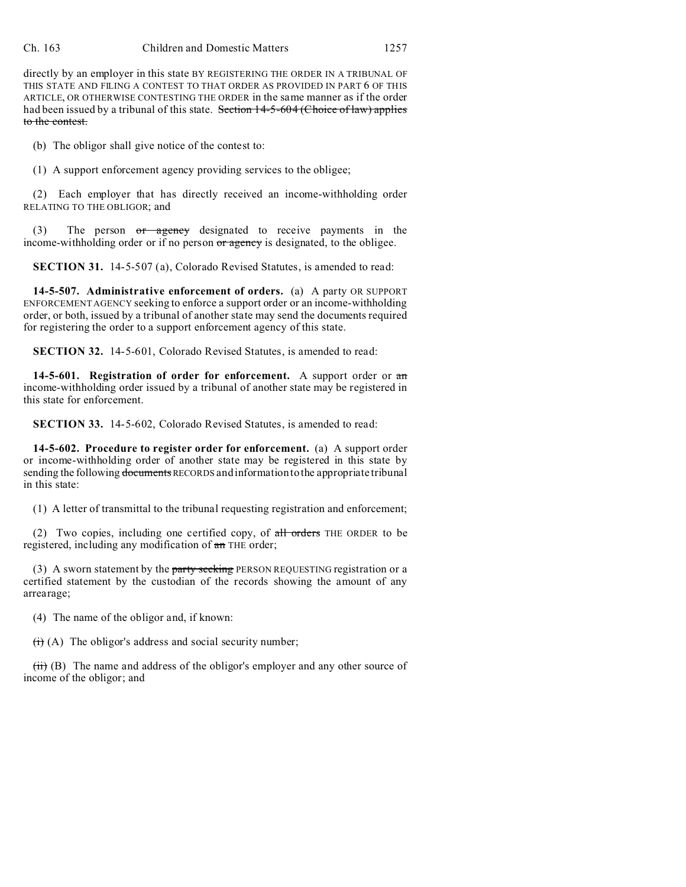directly by an employer in this state BY REGISTERING THE ORDER IN A TRIBUNAL OF THIS STATE AND FILING A CONTEST TO THAT ORDER AS PROVIDED IN PART 6 OF THIS ARTICLE, OR OTHERWISE CONTESTING THE ORDER in the same manner as if the order had been issued by a tribunal of this state. Section 14-5-604 (Choice of law) applies to the contest.

(b) The obligor shall give notice of the contest to:

(1) A support enforcement agency providing services to the obligee;

(2) Each employer that has directly received an income-withholding order RELATING TO THE OBLIGOR; and

(3) The person or agency designated to receive payments in the income-withholding order or if no person  $\sigma r$  agency is designated, to the obligee.

**SECTION 31.** 14-5-507 (a), Colorado Revised Statutes, is amended to read:

**14-5-507. Administrative enforcement of orders.** (a) A party OR SUPPORT ENFORCEMENT AGENCY seeking to enforce a support order or an income-withholding order, or both, issued by a tribunal of another state may send the documents required for registering the order to a support enforcement agency of this state.

**SECTION 32.** 14-5-601, Colorado Revised Statutes, is amended to read:

**14-5-601. Registration of order for enforcement.** A support order or an income-withholding order issued by a tribunal of another state may be registered in this state for enforcement.

**SECTION 33.** 14-5-602, Colorado Revised Statutes, is amended to read:

**14-5-602. Procedure to register order for enforcement.** (a) A support order or income-withholding order of another state may be registered in this state by sending the following documents RECORDS and information to the appropriate tribunal in this state:

(1) A letter of transmittal to the tribunal requesting registration and enforcement;

(2) Two copies, including one certified copy, of  $\frac{1}{\text{all orders}}$  THE ORDER to be registered, including any modification of  $a$ <sup>n</sup> THE order;

(3) A sworn statement by the party seeking PERSON REQUESTING registration or a certified statement by the custodian of the records showing the amount of any arrearage;

(4) The name of the obligor and, if known:

 $(ii)$  (A) The obligor's address and social security number;

 $(ii)$  (B) The name and address of the obligor's employer and any other source of income of the obligor; and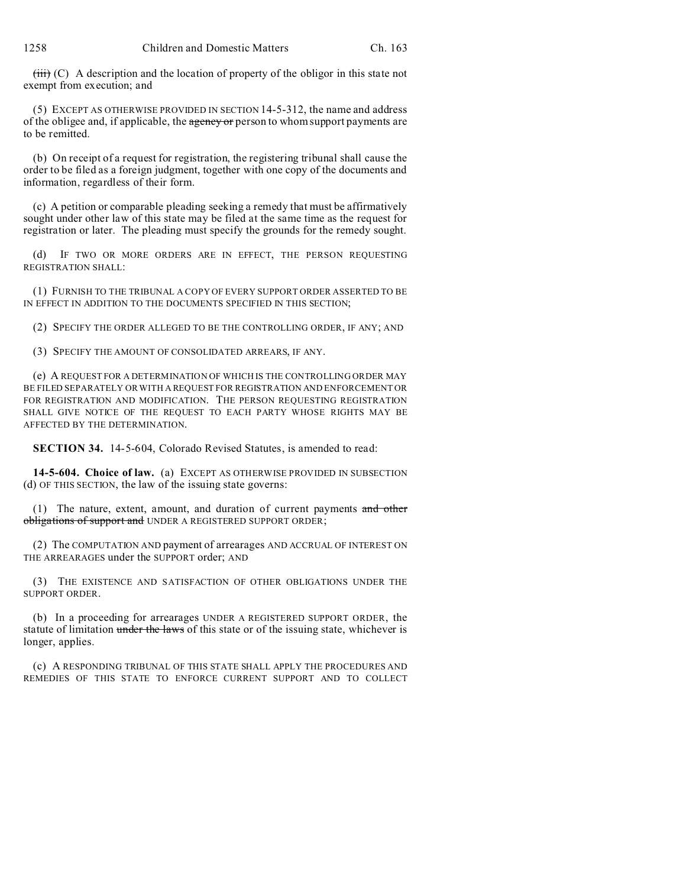$(iii)$  (C) A description and the location of property of the obligor in this state not exempt from execution; and

(5) EXCEPT AS OTHERWISE PROVIDED IN SECTION 14-5-312, the name and address of the obligee and, if applicable, the agency or person to whom support payments are to be remitted.

(b) On receipt of a request for registration, the registering tribunal shall cause the order to be filed as a foreign judgment, together with one copy of the documents and information, regardless of their form.

(c) A petition or comparable pleading seeking a remedy that must be affirmatively sought under other law of this state may be filed at the same time as the request for registration or later. The pleading must specify the grounds for the remedy sought.

(d) IF TWO OR MORE ORDERS ARE IN EFFECT, THE PERSON REQUESTING REGISTRATION SHALL:

(1) FURNISH TO THE TRIBUNAL A COPY OF EVERY SUPPORT ORDER ASSERTED TO BE IN EFFECT IN ADDITION TO THE DOCUMENTS SPECIFIED IN THIS SECTION;

(2) SPECIFY THE ORDER ALLEGED TO BE THE CONTROLLING ORDER, IF ANY; AND

(3) SPECIFY THE AMOUNT OF CONSOLIDATED ARREARS, IF ANY.

(e) A REQUEST FOR A DETERMINATION OF WHICH IS THE CONTROLLING ORDER MAY BE FILED SEPARATELY OR WITH A REQUEST FOR REGISTRATION AND ENFORCEMENT OR FOR REGISTRATION AND MODIFICATION. THE PERSON REQUESTING REGISTRATION SHALL GIVE NOTICE OF THE REQUEST TO EACH PARTY WHOSE RIGHTS MAY BE AFFECTED BY THE DETERMINATION.

**SECTION 34.** 14-5-604, Colorado Revised Statutes, is amended to read:

**14-5-604. Choice of law.** (a) EXCEPT AS OTHERWISE PROVIDED IN SUBSECTION (d) OF THIS SECTION, the law of the issuing state governs:

(1) The nature, extent, amount, and duration of current payments and other obligations of support and UNDER A REGISTERED SUPPORT ORDER;

(2) The COMPUTATION AND payment of arrearages AND ACCRUAL OF INTEREST ON THE ARREARAGES under the SUPPORT order; AND

(3) THE EXISTENCE AND SATISFACTION OF OTHER OBLIGATIONS UNDER THE SUPPORT ORDER.

(b) In a proceeding for arrearages UNDER A REGISTERED SUPPORT ORDER, the statute of limitation under the laws of this state or of the issuing state, whichever is longer, applies.

(c) A RESPONDING TRIBUNAL OF THIS STATE SHALL APPLY THE PROCEDURES AND REMEDIES OF THIS STATE TO ENFORCE CURRENT SUPPORT AND TO COLLECT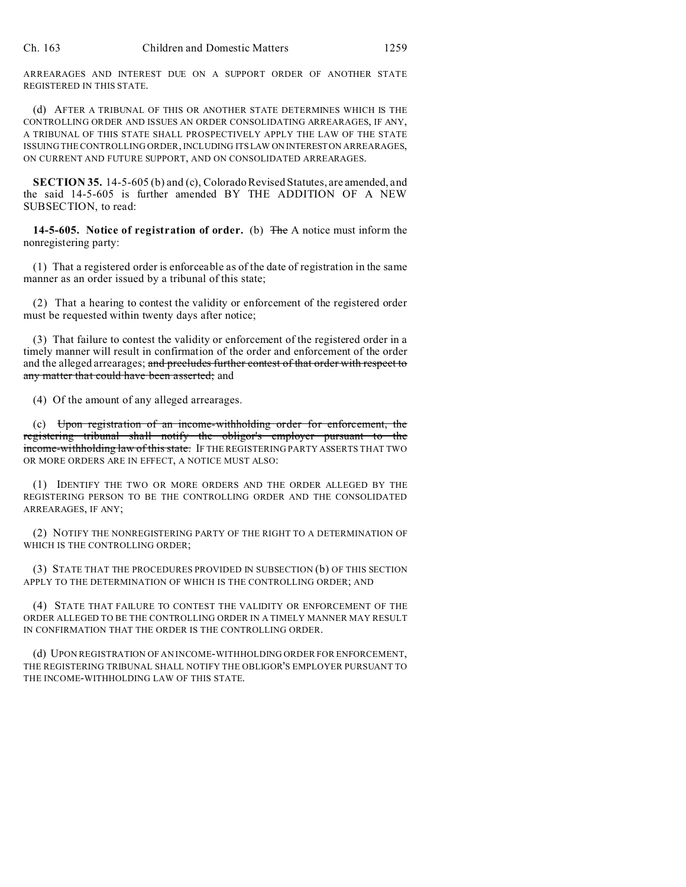ARREARAGES AND INTEREST DUE ON A SUPPORT ORDER OF ANOTHER STATE REGISTERED IN THIS STATE.

(d) AFTER A TRIBUNAL OF THIS OR ANOTHER STATE DETERMINES WHICH IS THE CONTROLLING ORDER AND ISSUES AN ORDER CONSOLIDATING ARREARAGES, IF ANY, A TRIBUNAL OF THIS STATE SHALL PROSPECTIVELY APPLY THE LAW OF THE STATE ISSUING THE CONTROLLING ORDER, INCLUDING ITSLAW ON INTERESTON ARREARAGES, ON CURRENT AND FUTURE SUPPORT, AND ON CONSOLIDATED ARREARAGES.

**SECTION 35.** 14-5-605 (b) and (c), Colorado Revised Statutes, are amended, and the said 14-5-605 is further amended BY THE ADDITION OF A NEW SUBSECTION, to read:

**14-5-605. Notice of registration of order.** (b) The A notice must inform the nonregistering party:

(1) That a registered order is enforceable as of the date of registration in the same manner as an order issued by a tribunal of this state;

(2) That a hearing to contest the validity or enforcement of the registered order must be requested within twenty days after notice;

(3) That failure to contest the validity or enforcement of the registered order in a timely manner will result in confirmation of the order and enforcement of the order and the alleged arrearages; and precludes further contest of that order with respect to any matter that could have been asserted; and

(4) Of the amount of any alleged arrearages.

(c) Upon registration of an income-withholding order for enforcement, the registering tribunal shall notify the obligor's employer pursuant to the income-withholding law of this state. IF THE REGISTERING PARTY ASSERTS THAT TWO OR MORE ORDERS ARE IN EFFECT, A NOTICE MUST ALSO:

(1) IDENTIFY THE TWO OR MORE ORDERS AND THE ORDER ALLEGED BY THE REGISTERING PERSON TO BE THE CONTROLLING ORDER AND THE CONSOLIDATED ARREARAGES, IF ANY;

(2) NOTIFY THE NONREGISTERING PARTY OF THE RIGHT TO A DETERMINATION OF WHICH IS THE CONTROLLING ORDER:

(3) STATE THAT THE PROCEDURES PROVIDED IN SUBSECTION (b) OF THIS SECTION APPLY TO THE DETERMINATION OF WHICH IS THE CONTROLLING ORDER; AND

(4) STATE THAT FAILURE TO CONTEST THE VALIDITY OR ENFORCEMENT OF THE ORDER ALLEGED TO BE THE CONTROLLING ORDER IN A TIMELY MANNER MAY RESULT IN CONFIRMATION THAT THE ORDER IS THE CONTROLLING ORDER.

(d) UPON REGISTRATION OF AN INCOME-WITHHOLDING ORDER FOR ENFORCEMENT, THE REGISTERING TRIBUNAL SHALL NOTIFY THE OBLIGOR'S EMPLOYER PURSUANT TO THE INCOME-WITHHOLDING LAW OF THIS STATE.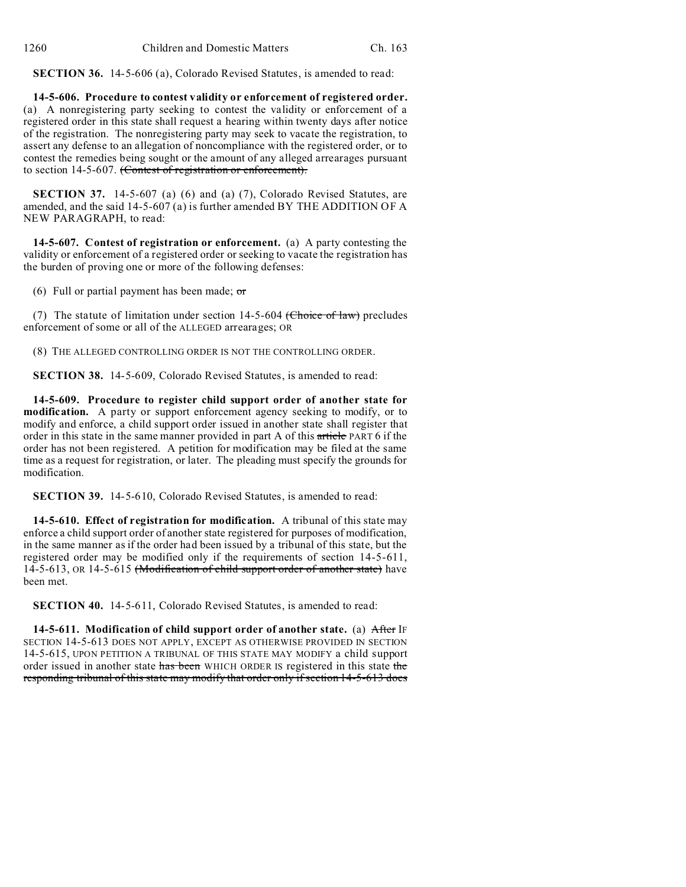**SECTION 36.** 14-5-606 (a), Colorado Revised Statutes, is amended to read:

**14-5-606. Procedure to contest validity or enforcement of registered order.**

(a) A nonregistering party seeking to contest the validity or enforcement of a registered order in this state shall request a hearing within twenty days after notice of the registration. The nonregistering party may seek to vacate the registration, to assert any defense to an allegation of noncompliance with the registered order, or to contest the remedies being sought or the amount of any alleged arrearages pursuant to section 14-5-607. (Contest of registration or enforcement).

**SECTION 37.** 14-5-607 (a) (6) and (a) (7), Colorado Revised Statutes, are amended, and the said 14-5-607 (a) is further amended BY THE ADDITION OF A NEW PARAGRAPH, to read:

**14-5-607. Contest of registration or enforcement.** (a) A party contesting the validity or enforcement of a registered order or seeking to vacate the registration has the burden of proving one or more of the following defenses:

(6) Full or partial payment has been made;  $\sigma$ 

(7) The statute of limitation under section  $14-5-604$  (Choice of law) precludes enforcement of some or all of the ALLEGED arrearages; OR

(8) THE ALLEGED CONTROLLING ORDER IS NOT THE CONTROLLING ORDER.

**SECTION 38.** 14-5-609, Colorado Revised Statutes, is amended to read:

**14-5-609. Procedure to register child support order of another state for modification.** A party or support enforcement agency seeking to modify, or to modify and enforce, a child support order issued in another state shall register that order in this state in the same manner provided in part A of this article PART 6 if the order has not been registered. A petition for modification may be filed at the same time as a request for registration, or later. The pleading must specify the grounds for modification.

**SECTION 39.** 14-5-610, Colorado Revised Statutes, is amended to read:

**14-5-610. Effect of registration for modification.** A tribunal of this state may enforce a child support order of another state registered for purposes of modification, in the same manner as if the order had been issued by a tribunal of this state, but the registered order may be modified only if the requirements of section 14-5-611, 14-5-613, OR 14-5-615 (Modification of child support order of another state) have been met.

**SECTION 40.** 14-5-611, Colorado Revised Statutes, is amended to read:

**14-5-611. Modification of child support order of another state.** (a) After IF SECTION 14-5-613 DOES NOT APPLY, EXCEPT AS OTHERWISE PROVIDED IN SECTION 14-5-615, UPON PETITION A TRIBUNAL OF THIS STATE MAY MODIFY a child support order issued in another state has been WHICH ORDER IS registered in this state the responding tribunal of this state may modify that order only if section 14-5-613 does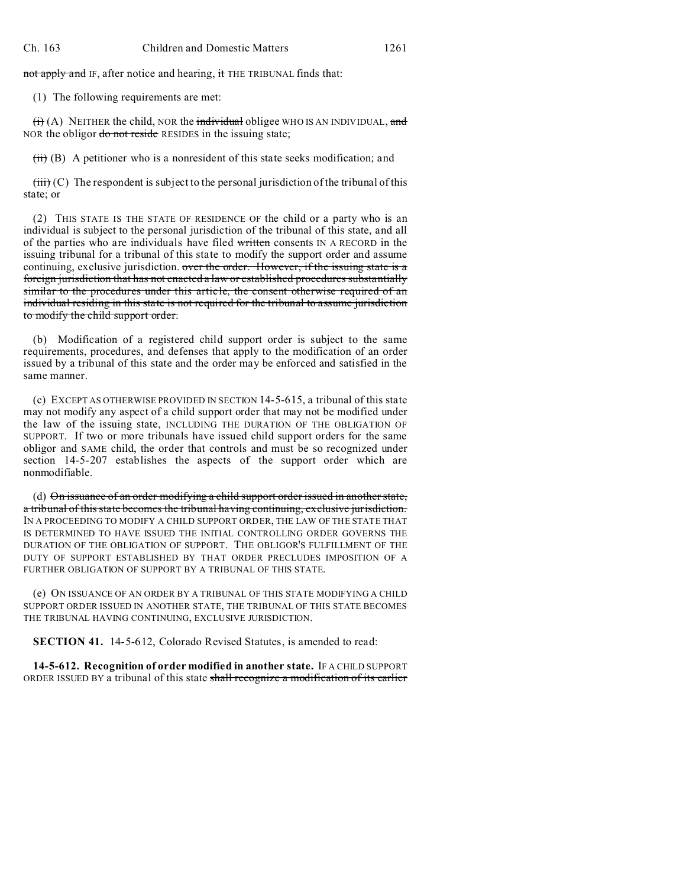not apply and IF, after notice and hearing, it THE TRIBUNAL finds that:

(1) The following requirements are met:

 $\overrightarrow{(t)}$  (A) NEITHER the child, NOR the individual obligee WHO IS AN INDIVIDUAL, and NOR the obligor do not reside RESIDES in the issuing state;

 $(ii)$  (B) A petitioner who is a nonresident of this state seeks modification; and

 $(iii)$  (C) The respondent is subject to the personal jurisdiction of the tribunal of this state; or

(2) THIS STATE IS THE STATE OF RESIDENCE OF the child or a party who is an individual is subject to the personal jurisdiction of the tribunal of this state, and all of the parties who are individuals have filed written consents IN A RECORD in the issuing tribunal for a tribunal of this state to modify the support order and assume continuing, exclusive jurisdiction. over the order. However, if the issuing state is a foreign jurisdiction that has not enacted a law or established procedures substantially similar to the procedures under this article, the consent otherwise required of an individual residing in this state is not required for the tribunal to assume jurisdiction to modify the child support order.

(b) Modification of a registered child support order is subject to the same requirements, procedures, and defenses that apply to the modification of an order issued by a tribunal of this state and the order may be enforced and satisfied in the same manner.

(c) EXCEPT AS OTHERWISE PROVIDED IN SECTION 14-5-615, a tribunal of this state may not modify any aspect of a child support order that may not be modified under the law of the issuing state, INCLUDING THE DURATION OF THE OBLIGATION OF SUPPORT. If two or more tribunals have issued child support orders for the same obligor and SAME child, the order that controls and must be so recognized under section 14-5-207 establishes the aspects of the support order which are nonmodifiable.

(d) On issuance of an order modifying a child support order issued in another state, a tribunal of this state becomes the tribunal having continuing, exclusive jurisdiction. IN A PROCEEDING TO MODIFY A CHILD SUPPORT ORDER, THE LAW OF THE STATE THAT IS DETERMINED TO HAVE ISSUED THE INITIAL CONTROLLING ORDER GOVERNS THE DURATION OF THE OBLIGATION OF SUPPORT. THE OBLIGOR'S FULFILLMENT OF THE DUTY OF SUPPORT ESTABLISHED BY THAT ORDER PRECLUDES IMPOSITION OF A FURTHER OBLIGATION OF SUPPORT BY A TRIBUNAL OF THIS STATE.

(e) ON ISSUANCE OF AN ORDER BY A TRIBUNAL OF THIS STATE MODIFYING A CHILD SUPPORT ORDER ISSUED IN ANOTHER STATE, THE TRIBUNAL OF THIS STATE BECOMES THE TRIBUNAL HAVING CONTINUING, EXCLUSIVE JURISDICTION.

**SECTION 41.** 14-5-612, Colorado Revised Statutes, is amended to read:

**14-5-612. Recognition of order modified in another state.** IF A CHILD SUPPORT ORDER ISSUED BY a tribunal of this state shall recognize a modification of its earlier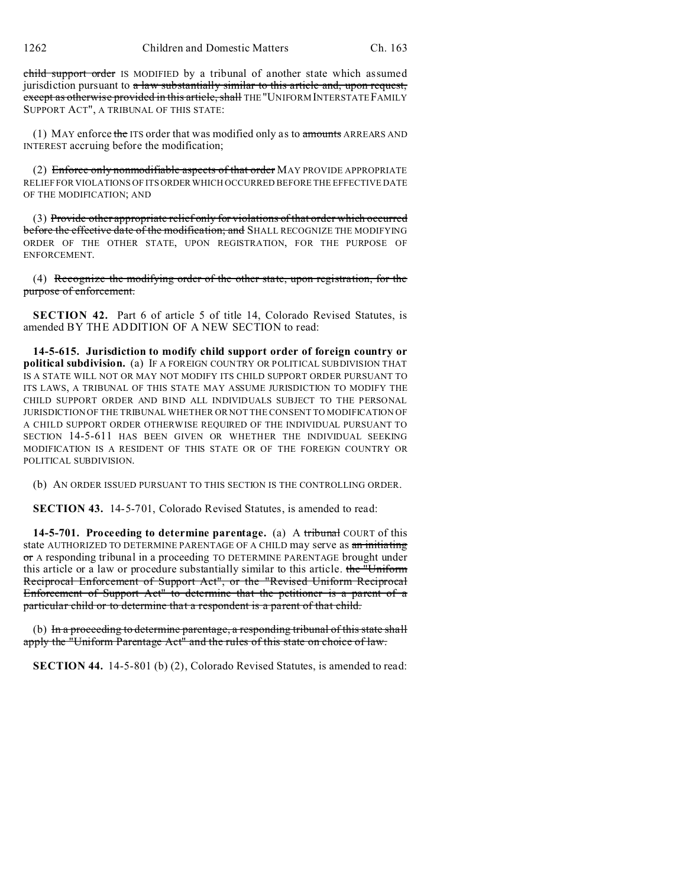1262 Children and Domestic Matters Ch. 163

child support order IS MODIFIED by a tribunal of another state which assumed jurisdiction pursuant to a law substantially similar to this article and, upon request, except as otherwise provided in this article, shall THE "UNIFORM INTERSTATE FAMILY SUPPORT ACT", A TRIBUNAL OF THIS STATE:

(1) MAY enforce the ITS order that was modified only as to  $a$  mounts ARREARS AND INTEREST accruing before the modification;

(2) Enforce only nonmodifiable aspects of that order MAY PROVIDE APPROPRIATE RELIEF FOR VIOLATIONS OF ITS ORDER WHICH OCCURRED BEFORE THE EFFECTIVE DATE OF THE MODIFICATION; AND

(3) Provide other appropriate relief only for violations of that order which occurred before the effective date of the modification; and SHALL RECOGNIZE THE MODIFYING ORDER OF THE OTHER STATE, UPON REGISTRATION, FOR THE PURPOSE OF ENFORCEMENT.

(4) Recognize the modifying order of the other state, upon registration, for the purpose of enforcement.

**SECTION 42.** Part 6 of article 5 of title 14, Colorado Revised Statutes, is amended BY THE ADDITION OF A NEW SECTION to read:

**14-5-615. Jurisdiction to modify child support order of foreign country or political subdivision.** (a) IF A FOREIGN COUNTRY OR POLITICAL SUBDIVISION THAT IS A STATE WILL NOT OR MAY NOT MODIFY ITS CHILD SUPPORT ORDER PURSUANT TO ITS LAWS, A TRIBUNAL OF THIS STATE MAY ASSUME JURISDICTION TO MODIFY THE CHILD SUPPORT ORDER AND BIND ALL INDIVIDUALS SUBJECT TO THE PERSONAL JURISDICTION OF THE TRIBUNAL WHETHER OR NOT THE CONSENT TO MODIFICATION OF A CHILD SUPPORT ORDER OTHERWISE REQUIRED OF THE INDIVIDUAL PURSUANT TO SECTION 14-5-611 HAS BEEN GIVEN OR WHETHER THE INDIVIDUAL SEEKING MODIFICATION IS A RESIDENT OF THIS STATE OR OF THE FOREIGN COUNTRY OR POLITICAL SUBDIVISION.

(b) AN ORDER ISSUED PURSUANT TO THIS SECTION IS THE CONTROLLING ORDER.

**SECTION 43.** 14-5-701, Colorado Revised Statutes, is amended to read:

**14-5-701. Proceeding to determine parentage.** (a) A tribunal COURT of this state AUTHORIZED TO DETERMINE PARENTAGE OF A CHILD may serve as an initiating or A responding tribunal in a proceeding TO DETERMINE PARENTAGE brought under this article or a law or procedure substantially similar to this article. the "Uniform Reciprocal Enforcement of Support Act", or the "Revised Uniform Reciprocal Enforcement of Support Act" to determine that the petitioner is a parent of a particular child or to determine that a respondent is a parent of that child.

(b) In a proceeding to determine parentage, a responding tribunal of this state shall apply the "Uniform Parentage Act" and the rules of this state on choice of law.

**SECTION 44.** 14-5-801 (b) (2), Colorado Revised Statutes, is amended to read: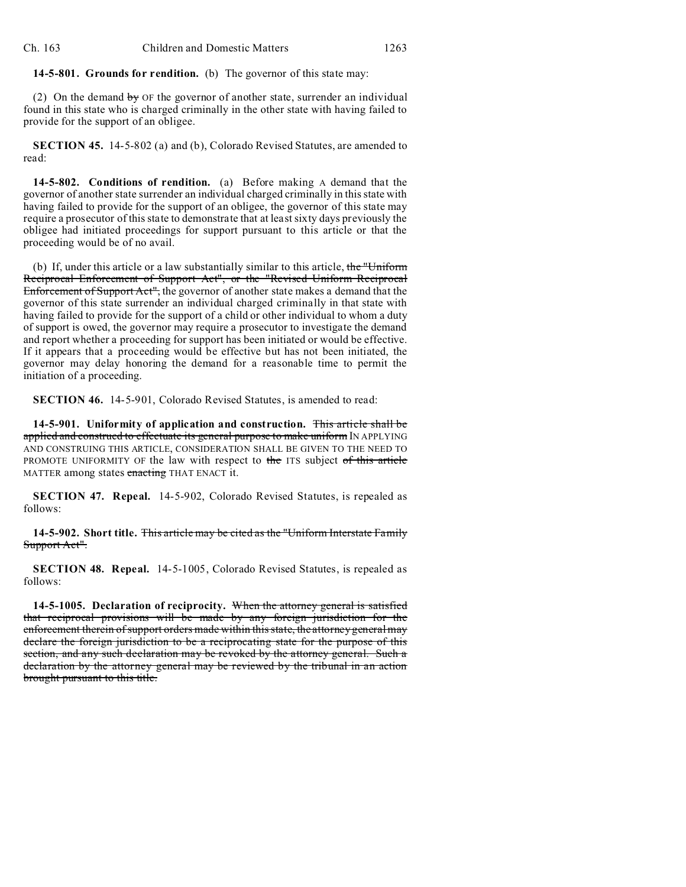## **14-5-801. Grounds for rendition.** (b) The governor of this state may:

(2) On the demand  $b\mathbf{v}$  OF the governor of another state, surrender an individual found in this state who is charged criminally in the other state with having failed to provide for the support of an obligee.

**SECTION 45.** 14-5-802 (a) and (b), Colorado Revised Statutes, are amended to read:

**14-5-802. Conditions of rendition.** (a) Before making A demand that the governor of another state surrender an individual charged criminally in this state with having failed to provide for the support of an obligee, the governor of this state may require a prosecutor of this state to demonstrate that at least sixty days previously the obligee had initiated proceedings for support pursuant to this article or that the proceeding would be of no avail.

(b) If, under this article or a law substantially similar to this article, the "Uniform Reciprocal Enforcement of Support Act", or the "Revised Uniform Reciprocal Enforcement of Support Act<sup>"</sup>, the governor of another state makes a demand that the governor of this state surrender an individual charged criminally in that state with having failed to provide for the support of a child or other individual to whom a duty of support is owed, the governor may require a prosecutor to investigate the demand and report whether a proceeding for support has been initiated or would be effective. If it appears that a proceeding would be effective but has not been initiated, the governor may delay honoring the demand for a reasonable time to permit the initiation of a proceeding.

**SECTION 46.** 14-5-901, Colorado Revised Statutes, is amended to read:

**14-5-901. Uniformity of application and construction.** This article shall be applied and construed to effectuate its general purpose to make uniform IN APPLYING AND CONSTRUING THIS ARTICLE, CONSIDERATION SHALL BE GIVEN TO THE NEED TO PROMOTE UNIFORMITY OF the law with respect to the ITS subject of this article MATTER among states enacting THAT ENACT it.

**SECTION 47. Repeal.** 14-5-902, Colorado Revised Statutes, is repealed as follows:

**14-5-902. Short title.** This article may be cited as the "Uniform Interstate Family Support Act".

**SECTION 48. Repeal.** 14-5-1005, Colorado Revised Statutes, is repealed as follows:

**14-5-1005. Declaration of reciprocity.** When the attorney general is satisfied that reciprocal provisions will be made by any foreign jurisdiction for the enforcement therein of support orders made within this state, the attorney general may declare the foreign jurisdiction to be a reciprocating state for the purpose of this section, and any such declaration may be revoked by the attorney general. Such a declaration by the attorney general may be reviewed by the tribunal in an action brought pursuant to this title.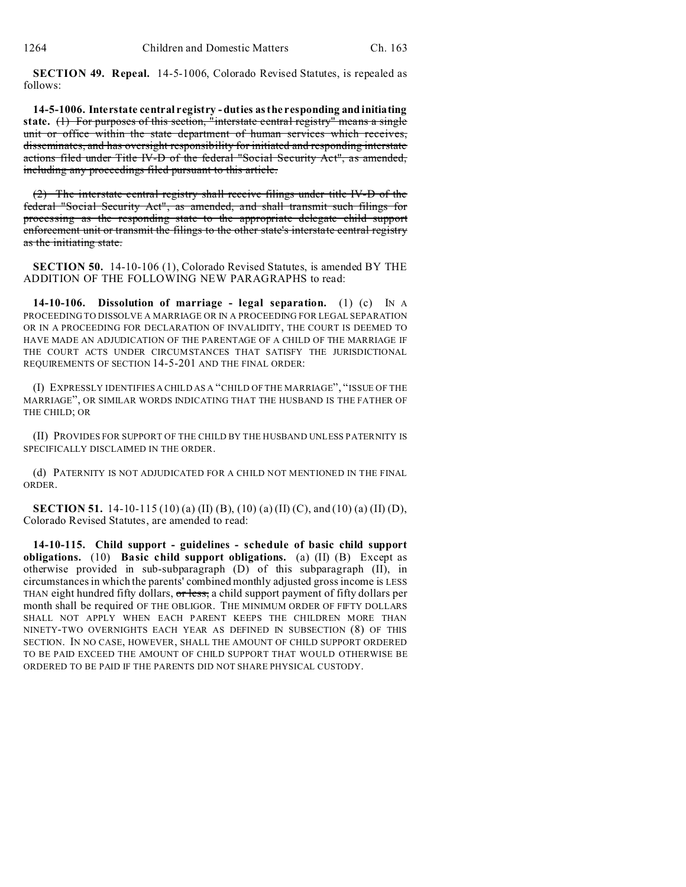**SECTION 49. Repeal.** 14-5-1006, Colorado Revised Statutes, is repealed as follows:

**14-5-1006. Interstate central registry - duties as the responding and initiating state.** (1) For purposes of this section, "interstate central registry" means a single unit or office within the state department of human services which receives, disseminates, and has oversight responsibility for initiated and responding interstate actions filed under Title IV-D of the federal "Social Security Act", as amended, including any proceedings filed pursuant to this article.

(2) The interstate central registry shall receive filings under title IV-D of the federal "Social Security Act", as amended, and shall transmit such filings for processing as the responding state to the appropriate delegate child support enforcement unit or transmit the filings to the other state's interstate central registry as the initiating state.

**SECTION 50.** 14-10-106 (1), Colorado Revised Statutes, is amended BY THE ADDITION OF THE FOLLOWING NEW PARAGRAPHS to read:

**14-10-106. Dissolution of marriage - legal separation.** (1) (c) IN A PROCEEDING TO DISSOLVE A MARRIAGE OR IN A PROCEEDING FOR LEGAL SEPARATION OR IN A PROCEEDING FOR DECLARATION OF INVALIDITY, THE COURT IS DEEMED TO HAVE MADE AN ADJUDICATION OF THE PARENTAGE OF A CHILD OF THE MARRIAGE IF THE COURT ACTS UNDER CIRCUMSTANCES THAT SATISFY THE JURISDICTIONAL REQUIREMENTS OF SECTION 14-5-201 AND THE FINAL ORDER:

(I) EXPRESSLY IDENTIFIES A CHILD AS A "CHILD OF THE MARRIAGE", "ISSUE OF THE MARRIAGE", OR SIMILAR WORDS INDICATING THAT THE HUSBAND IS THE FATHER OF THE CHILD; OR

(II) PROVIDES FOR SUPPORT OF THE CHILD BY THE HUSBAND UNLESS PATERNITY IS SPECIFICALLY DISCLAIMED IN THE ORDER.

(d) PATERNITY IS NOT ADJUDICATED FOR A CHILD NOT MENTIONED IN THE FINAL ORDER.

**SECTION 51.** 14-10-115 (10) (a) (II) (B), (10) (a) (II) (C), and (10) (a) (II) (D), Colorado Revised Statutes, are amended to read:

**14-10-115. Child support - guidelines - schedule of basic child support obligations.** (10) **Basic child support obligations.** (a) (II) (B) Except as otherwise provided in sub-subparagraph (D) of this subparagraph (II), in circumstances in which the parents' combined monthly adjusted gross income is LESS THAN eight hundred fifty dollars, or less, a child support payment of fifty dollars per month shall be required OF THE OBLIGOR. THE MINIMUM ORDER OF FIFTY DOLLARS SHALL NOT APPLY WHEN EACH PARENT KEEPS THE CHILDREN MORE THAN NINETY-TWO OVERNIGHTS EACH YEAR AS DEFINED IN SUBSECTION (8) OF THIS SECTION. IN NO CASE, HOWEVER, SHALL THE AMOUNT OF CHILD SUPPORT ORDERED TO BE PAID EXCEED THE AMOUNT OF CHILD SUPPORT THAT WOULD OTHERWISE BE ORDERED TO BE PAID IF THE PARENTS DID NOT SHARE PHYSICAL CUSTODY.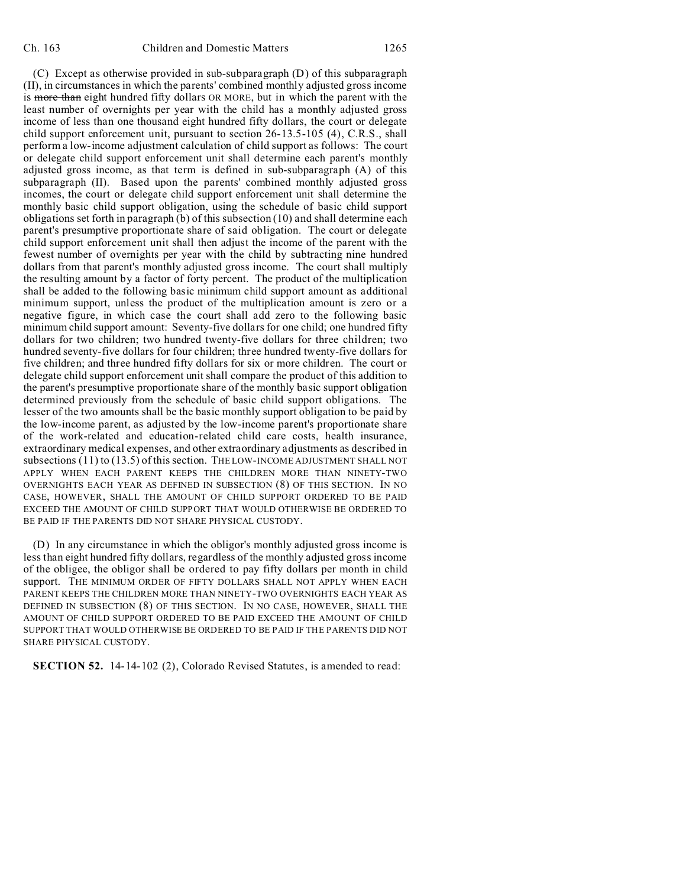(C) Except as otherwise provided in sub-subparagraph (D) of this subparagraph (II), in circumstances in which the parents' combined monthly adjusted gross income is more than eight hundred fifty dollars OR MORE, but in which the parent with the least number of overnights per year with the child has a monthly adjusted gross income of less than one thousand eight hundred fifty dollars, the court or delegate child support enforcement unit, pursuant to section 26-13.5-105 (4), C.R.S., shall perform a low-income adjustment calculation of child support as follows: The court or delegate child support enforcement unit shall determine each parent's monthly adjusted gross income, as that term is defined in sub-subparagraph (A) of this subparagraph (II). Based upon the parents' combined monthly adjusted gross incomes, the court or delegate child support enforcement unit shall determine the monthly basic child support obligation, using the schedule of basic child support obligations set forth in paragraph  $(b)$  of this subsection  $(10)$  and shall determine each parent's presumptive proportionate share of said obligation. The court or delegate child support enforcement unit shall then adjust the income of the parent with the fewest number of overnights per year with the child by subtracting nine hundred dollars from that parent's monthly adjusted gross income. The court shall multiply the resulting amount by a factor of forty percent. The product of the multiplication shall be added to the following basic minimum child support amount as additional minimum support, unless the product of the multiplication amount is zero or a negative figure, in which case the court shall add zero to the following basic minimum child support amount: Seventy-five dollars for one child; one hundred fifty dollars for two children; two hundred twenty-five dollars for three children; two hundred seventy-five dollars for four children; three hundred twenty-five dollars for five children; and three hundred fifty dollars for six or more children. The court or delegate child support enforcement unit shall compare the product of this addition to the parent's presumptive proportionate share of the monthly basic support obligation determined previously from the schedule of basic child support obligations. The lesser of the two amounts shall be the basic monthly support obligation to be paid by the low-income parent, as adjusted by the low-income parent's proportionate share of the work-related and education-related child care costs, health insurance, extraordinary medical expenses, and other extraordinary adjustments as described in subsections (11) to (13.5) of this section. THE LOW-INCOME ADJUSTMENT SHALL NOT APPLY WHEN EACH PARENT KEEPS THE CHILDREN MORE THAN NINETY-TWO OVERNIGHTS EACH YEAR AS DEFINED IN SUBSECTION (8) OF THIS SECTION. IN NO CASE, HOWEVER, SHALL THE AMOUNT OF CHILD SUPPORT ORDERED TO BE PAID EXCEED THE AMOUNT OF CHILD SUPPORT THAT WOULD OTHERWISE BE ORDERED TO BE PAID IF THE PARENTS DID NOT SHARE PHYSICAL CUSTODY.

(D) In any circumstance in which the obligor's monthly adjusted gross income is less than eight hundred fifty dollars, regardless of the monthly adjusted gross income of the obligee, the obligor shall be ordered to pay fifty dollars per month in child support. THE MINIMUM ORDER OF FIFTY DOLLARS SHALL NOT APPLY WHEN EACH PARENT KEEPS THE CHILDREN MORE THAN NINETY-TWO OVERNIGHTS EACH YEAR AS DEFINED IN SUBSECTION (8) OF THIS SECTION. IN NO CASE, HOWEVER, SHALL THE AMOUNT OF CHILD SUPPORT ORDERED TO BE PAID EXCEED THE AMOUNT OF CHILD SUPPORT THAT WOULD OTHERWISE BE ORDERED TO BE PAID IF THE PARENTS DID NOT SHARE PHYSICAL CUSTODY.

**SECTION 52.** 14-14-102 (2), Colorado Revised Statutes, is amended to read: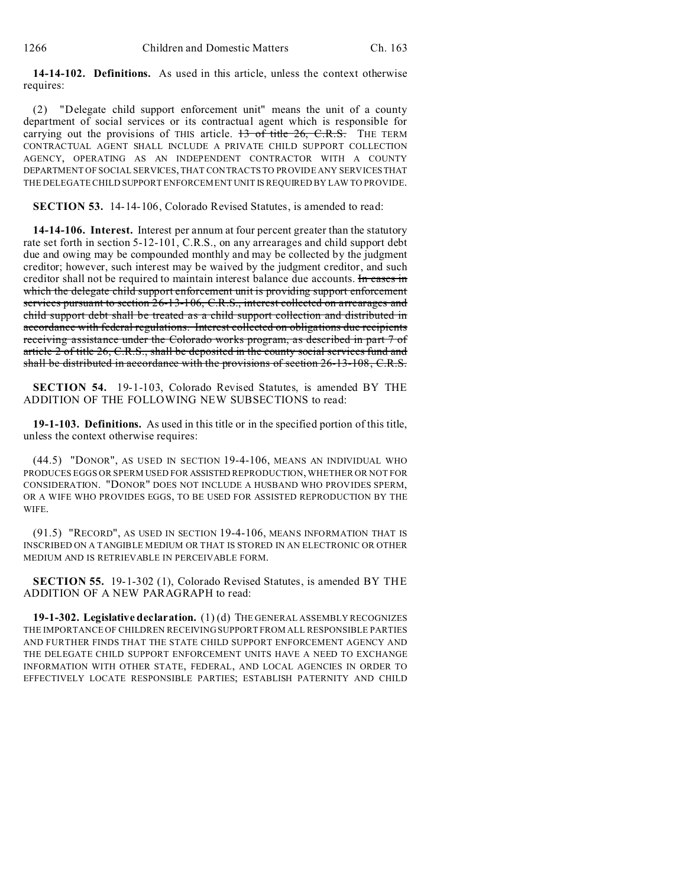**14-14-102. Definitions.** As used in this article, unless the context otherwise requires:

(2) "Delegate child support enforcement unit" means the unit of a county department of social services or its contractual agent which is responsible for carrying out the provisions of THIS article.  $13$  of title  $26$ , C.R.S. THE TERM CONTRACTUAL AGENT SHALL INCLUDE A PRIVATE CHILD SUPPORT COLLECTION AGENCY, OPERATING AS AN INDEPENDENT CONTRACTOR WITH A COUNTY DEPARTMENT OF SOCIAL SERVICES, THAT CONTRACTS TO PROVIDE ANY SERVICESTHAT THE DELEGATE CHILD SUPPORT ENFORCEMENT UNIT IS REQUIRED BY LAW TO PROVIDE.

**SECTION 53.** 14-14-106, Colorado Revised Statutes, is amended to read:

**14-14-106. Interest.** Interest per annum at four percent greater than the statutory rate set forth in section 5-12-101, C.R.S., on any arrearages and child support debt due and owing may be compounded monthly and may be collected by the judgment creditor; however, such interest may be waived by the judgment creditor, and such creditor shall not be required to maintain interest balance due accounts. In cases in which the delegate child support enforcement unit is providing support enforcement services pursuant to section 26-13-106, C.R.S., interest collected on arrearages and child support debt shall be treated as a child support collection and distributed in accordance with federal regulations. Interest collected on obligations due recipients receiving assistance under the Colorado works program, as described in part 7 of article 2 of title 26, C.R.S., shall be deposited in the county social services fund and shall be distributed in accordance with the provisions of section 26-13-108, C.R.S.

**SECTION 54.** 19-1-103, Colorado Revised Statutes, is amended BY THE ADDITION OF THE FOLLOWING NEW SUBSECTIONS to read:

**19-1-103. Definitions.** As used in this title or in the specified portion of this title, unless the context otherwise requires:

(44.5) "DONOR", AS USED IN SECTION 19-4-106, MEANS AN INDIVIDUAL WHO PRODUCES EGGS OR SPERM USED FOR ASSISTED REPRODUCTION, WHETHER OR NOT FOR CONSIDERATION. "DONOR" DOES NOT INCLUDE A HUSBAND WHO PROVIDES SPERM, OR A WIFE WHO PROVIDES EGGS, TO BE USED FOR ASSISTED REPRODUCTION BY THE WIFE.

(91.5) "RECORD", AS USED IN SECTION 19-4-106, MEANS INFORMATION THAT IS INSCRIBED ON A TANGIBLE MEDIUM OR THAT IS STORED IN AN ELECTRONIC OR OTHER MEDIUM AND IS RETRIEVABLE IN PERCEIVABLE FORM.

**SECTION 55.** 19-1-302 (1), Colorado Revised Statutes, is amended BY THE ADDITION OF A NEW PARAGRAPH to read:

**19-1-302. Legislative declaration.** (1) (d) THE GENERAL ASSEMBLY RECOGNIZES THE IMPORTANCE OF CHILDREN RECEIVING SUPPORT FROM ALL RESPONSIBLE PARTIES AND FURTHER FINDS THAT THE STATE CHILD SUPPORT ENFORCEMENT AGENCY AND THE DELEGATE CHILD SUPPORT ENFORCEMENT UNITS HAVE A NEED TO EXCHANGE INFORMATION WITH OTHER STATE, FEDERAL, AND LOCAL AGENCIES IN ORDER TO EFFECTIVELY LOCATE RESPONSIBLE PARTIES; ESTABLISH PATERNITY AND CHILD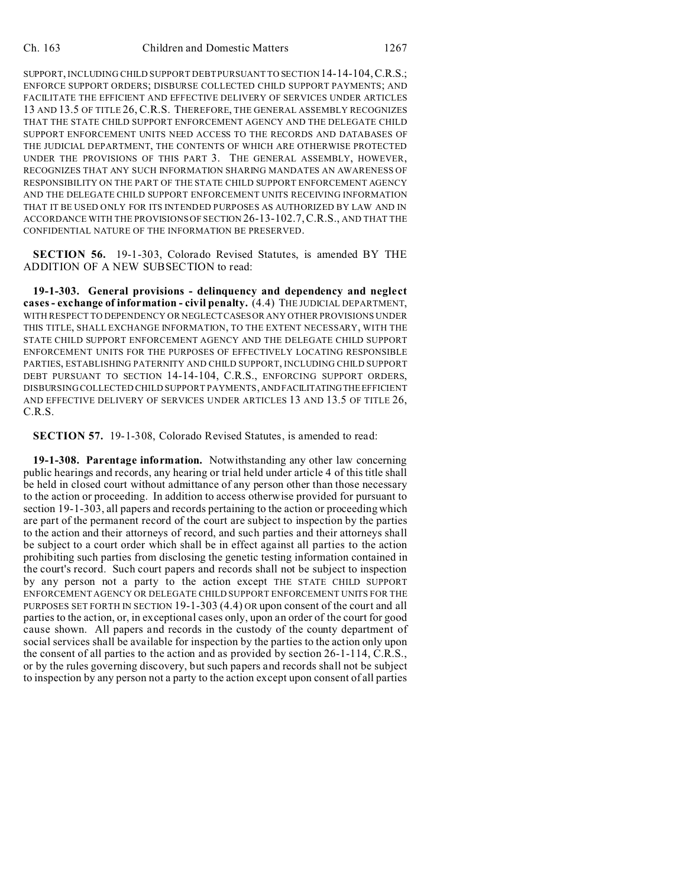SUPPORT, INCLUDING CHILD SUPPORT DEBT PURSUANT TO SECTION 14-14-104,C.R.S.; ENFORCE SUPPORT ORDERS; DISBURSE COLLECTED CHILD SUPPORT PAYMENTS; AND FACILITATE THE EFFICIENT AND EFFECTIVE DELIVERY OF SERVICES UNDER ARTICLES 13 AND 13.5 OF TITLE 26, C.R.S. THEREFORE, THE GENERAL ASSEMBLY RECOGNIZES THAT THE STATE CHILD SUPPORT ENFORCEMENT AGENCY AND THE DELEGATE CHILD SUPPORT ENFORCEMENT UNITS NEED ACCESS TO THE RECORDS AND DATABASES OF THE JUDICIAL DEPARTMENT, THE CONTENTS OF WHICH ARE OTHERWISE PROTECTED UNDER THE PROVISIONS OF THIS PART 3. THE GENERAL ASSEMBLY, HOWEVER, RECOGNIZES THAT ANY SUCH INFORMATION SHARING MANDATES AN AWARENESS OF RESPONSIBILITY ON THE PART OF THE STATE CHILD SUPPORT ENFORCEMENT AGENCY AND THE DELEGATE CHILD SUPPORT ENFORCEMENT UNITS RECEIVING INFORMATION THAT IT BE USED ONLY FOR ITS INTENDED PURPOSES AS AUTHORIZED BY LAW AND IN ACCORDANCE WITH THE PROVISIONS OF SECTION 26-13-102.7,C.R.S., AND THAT THE CONFIDENTIAL NATURE OF THE INFORMATION BE PRESERVED.

**SECTION 56.** 19-1-303, Colorado Revised Statutes, is amended BY THE ADDITION OF A NEW SUBSECTION to read:

**19-1-303. General provisions - delinquency and dependency and neglect cases - exchange of information - civil penalty.** (4.4) THE JUDICIAL DEPARTMENT, WITH RESPECT TO DEPENDENCY OR NEGLECTCASESOR ANY OTHER PROVISIONS UNDER THIS TITLE, SHALL EXCHANGE INFORMATION, TO THE EXTENT NECESSARY, WITH THE STATE CHILD SUPPORT ENFORCEMENT AGENCY AND THE DELEGATE CHILD SUPPORT ENFORCEMENT UNITS FOR THE PURPOSES OF EFFECTIVELY LOCATING RESPONSIBLE PARTIES, ESTABLISHING PATERNITY AND CHILD SUPPORT, INCLUDING CHILD SUPPORT DEBT PURSUANT TO SECTION 14-14-104, C.R.S., ENFORCING SUPPORT ORDERS, DISBURSING COLLECTED CHILD SUPPORT PAYMENTS,ANDFACILITATINGTHEEFFICIENT AND EFFECTIVE DELIVERY OF SERVICES UNDER ARTICLES 13 AND 13.5 OF TITLE 26, C.R.S.

**SECTION 57.** 19-1-308, Colorado Revised Statutes, is amended to read:

**19-1-308. Parentage information.** Notwithstanding any other law concerning public hearings and records, any hearing or trial held under article 4 of this title shall be held in closed court without admittance of any person other than those necessary to the action or proceeding. In addition to access otherwise provided for pursuant to section 19-1-303, all papers and records pertaining to the action or proceeding which are part of the permanent record of the court are subject to inspection by the parties to the action and their attorneys of record, and such parties and their attorneys shall be subject to a court order which shall be in effect against all parties to the action prohibiting such parties from disclosing the genetic testing information contained in the court's record. Such court papers and records shall not be subject to inspection by any person not a party to the action except THE STATE CHILD SUPPORT ENFORCEMENT AGENCY OR DELEGATE CHILD SUPPORT ENFORCEMENT UNITS FOR THE PURPOSES SET FORTH IN SECTION 19-1-303 (4.4) OR upon consent of the court and all parties to the action, or, in exceptional cases only, upon an order of the court for good cause shown. All papers and records in the custody of the county department of social services shall be available for inspection by the parties to the action only upon the consent of all parties to the action and as provided by section 26-1-114, C.R.S., or by the rules governing discovery, but such papers and records shall not be subject to inspection by any person not a party to the action except upon consent of all parties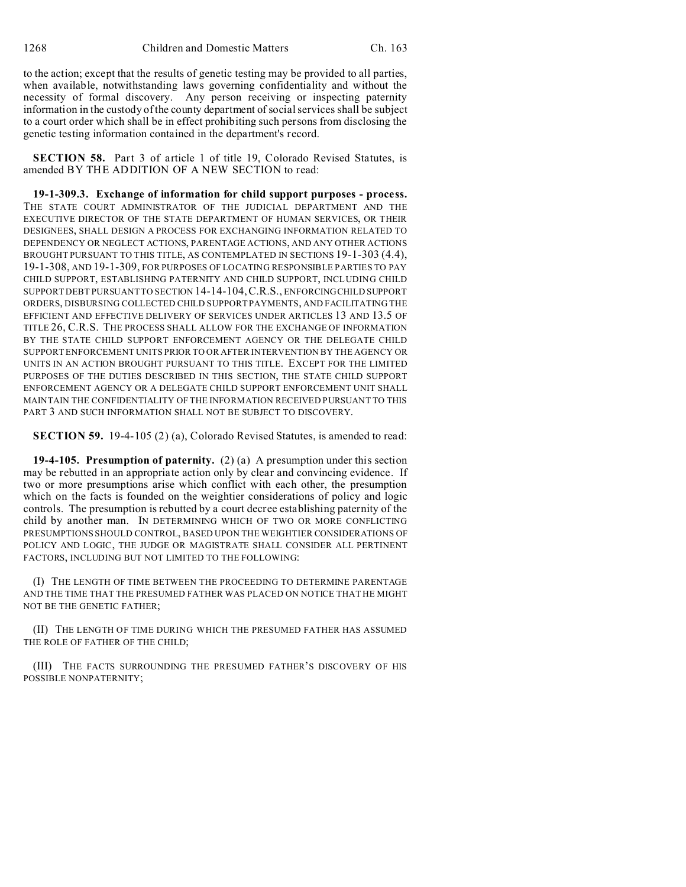to the action; except that the results of genetic testing may be provided to all parties, when available, notwithstanding laws governing confidentiality and without the necessity of formal discovery. Any person receiving or inspecting paternity information in the custody of the county department of social services shall be subject to a court order which shall be in effect prohibiting such persons from disclosing the genetic testing information contained in the department's record.

**SECTION 58.** Part 3 of article 1 of title 19, Colorado Revised Statutes, is amended BY THE ADDITION OF A NEW SECTION to read:

**19-1-309.3. Exchange of information for child support purposes - process.** THE STATE COURT ADMINISTRATOR OF THE JUDICIAL DEPARTMENT AND THE EXECUTIVE DIRECTOR OF THE STATE DEPARTMENT OF HUMAN SERVICES, OR THEIR DESIGNEES, SHALL DESIGN A PROCESS FOR EXCHANGING INFORMATION RELATED TO DEPENDENCY OR NEGLECT ACTIONS, PARENTAGE ACTIONS, AND ANY OTHER ACTIONS BROUGHT PURSUANT TO THIS TITLE, AS CONTEMPLATED IN SECTIONS 19-1-303 (4.4), 19-1-308, AND 19-1-309, FOR PURPOSES OF LOCATING RESPONSIBLE PARTIES TO PAY CHILD SUPPORT, ESTABLISHING PATERNITY AND CHILD SUPPORT, INCLUDING CHILD SUPPORT DEBT PURSUANT TO SECTION 14-14-104,C.R.S., ENFORCINGCHILD SUPPORT ORDERS, DISBURSING COLLECTED CHILD SUPPORT PAYMENTS, AND FACILITATING THE EFFICIENT AND EFFECTIVE DELIVERY OF SERVICES UNDER ARTICLES 13 AND 13.5 OF TITLE 26, C.R.S. THE PROCESS SHALL ALLOW FOR THE EXCHANGE OF INFORMATION BY THE STATE CHILD SUPPORT ENFORCEMENT AGENCY OR THE DELEGATE CHILD SUPPORT ENFORCEMENT UNITS PRIOR TO OR AFTER INTERVENTION BY THE AGENCY OR UNITS IN AN ACTION BROUGHT PURSUANT TO THIS TITLE. EXCEPT FOR THE LIMITED PURPOSES OF THE DUTIES DESCRIBED IN THIS SECTION, THE STATE CHILD SUPPORT ENFORCEMENT AGENCY OR A DELEGATE CHILD SUPPORT ENFORCEMENT UNIT SHALL MAINTAIN THE CONFIDENTIALITY OF THE INFORMATION RECEIVED PURSUANT TO THIS PART 3 AND SUCH INFORMATION SHALL NOT BE SUBJECT TO DISCOVERY.

**SECTION 59.** 19-4-105 (2) (a), Colorado Revised Statutes, is amended to read:

**19-4-105. Presumption of paternity.** (2) (a) A presumption under this section may be rebutted in an appropriate action only by clear and convincing evidence. If two or more presumptions arise which conflict with each other, the presumption which on the facts is founded on the weightier considerations of policy and logic controls. The presumption is rebutted by a court decree establishing paternity of the child by another man. IN DETERMINING WHICH OF TWO OR MORE CONFLICTING PRESUMPTIONS SHOULD CONTROL, BASED UPON THE WEIGHTIER CONSIDERATIONS OF POLICY AND LOGIC, THE JUDGE OR MAGISTRATE SHALL CONSIDER ALL PERTINENT FACTORS, INCLUDING BUT NOT LIMITED TO THE FOLLOWING:

(I) THE LENGTH OF TIME BETWEEN THE PROCEEDING TO DETERMINE PARENTAGE AND THE TIME THAT THE PRESUMED FATHER WAS PLACED ON NOTICE THAT HE MIGHT NOT BE THE GENETIC FATHER;

(II) THE LENGTH OF TIME DURING WHICH THE PRESUMED FATHER HAS ASSUMED THE ROLE OF FATHER OF THE CHILD;

(III) THE FACTS SURROUNDING THE PRESUMED FATHER'S DISCOVERY OF HIS POSSIBLE NONPATERNITY;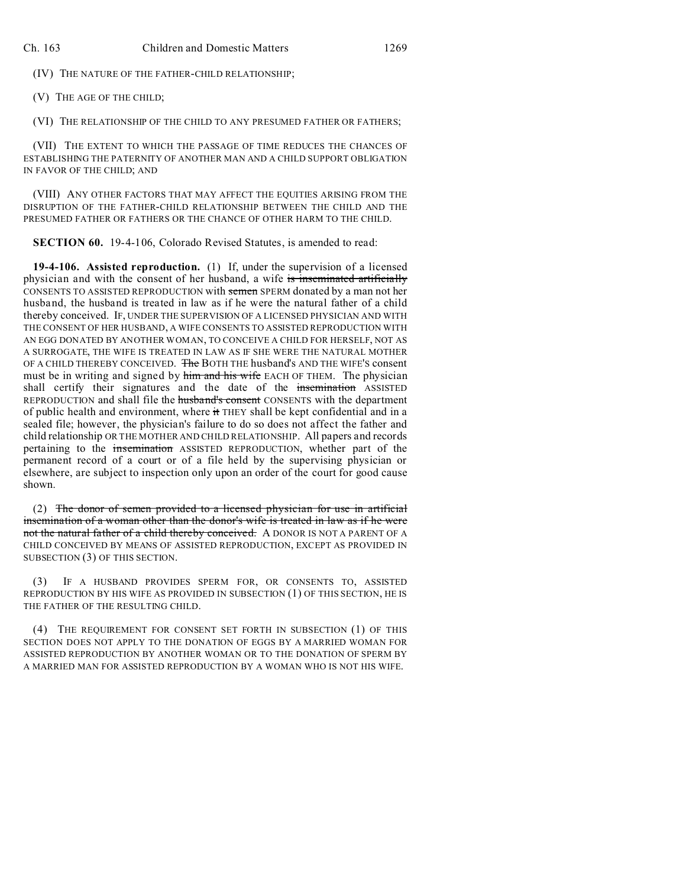(IV) THE NATURE OF THE FATHER-CHILD RELATIONSHIP;

(V) THE AGE OF THE CHILD;

(VI) THE RELATIONSHIP OF THE CHILD TO ANY PRESUMED FATHER OR FATHERS;

(VII) THE EXTENT TO WHICH THE PASSAGE OF TIME REDUCES THE CHANCES OF ESTABLISHING THE PATERNITY OF ANOTHER MAN AND A CHILD SUPPORT OBLIGATION IN FAVOR OF THE CHILD; AND

(VIII) ANY OTHER FACTORS THAT MAY AFFECT THE EQUITIES ARISING FROM THE DISRUPTION OF THE FATHER-CHILD RELATIONSHIP BETWEEN THE CHILD AND THE PRESUMED FATHER OR FATHERS OR THE CHANCE OF OTHER HARM TO THE CHILD.

**SECTION 60.** 19-4-106, Colorado Revised Statutes, is amended to read:

**19-4-106. Assisted reproduction.** (1) If, under the supervision of a licensed physician and with the consent of her husband, a wife is inseminated artificially CONSENTS TO ASSISTED REPRODUCTION with semen SPERM donated by a man not her husband, the husband is treated in law as if he were the natural father of a child thereby conceived. IF, UNDER THE SUPERVISION OF A LICENSED PHYSICIAN AND WITH THE CONSENT OF HER HUSBAND, A WIFE CONSENTS TO ASSISTED REPRODUCTION WITH AN EGG DONATED BY ANOTHER WOMAN, TO CONCEIVE A CHILD FOR HERSELF, NOT AS A SURROGATE, THE WIFE IS TREATED IN LAW AS IF SHE WERE THE NATURAL MOTHER OF A CHILD THEREBY CONCEIVED. The BOTH THE husband's AND THE WIFE'S consent must be in writing and signed by him and his wife EACH OF THEM. The physician shall certify their signatures and the date of the insemination ASSISTED REPRODUCTION and shall file the husband's consent CONSENTS with the department of public health and environment, where it THEY shall be kept confidential and in a sealed file; however, the physician's failure to do so does not affect the father and child relationship OR THE MOTHER AND CHILD RELATIONSHIP. All papers and records pertaining to the insemination ASSISTED REPRODUCTION, whether part of the permanent record of a court or of a file held by the supervising physician or elsewhere, are subject to inspection only upon an order of the court for good cause shown.

(2) The donor of semen provided to a licensed physician for use in artificial insemination of a woman other than the donor's wife is treated in law as if he were not the natural father of a child thereby conceived. A DONOR IS NOT A PARENT OF A CHILD CONCEIVED BY MEANS OF ASSISTED REPRODUCTION, EXCEPT AS PROVIDED IN SUBSECTION (3) OF THIS SECTION.

(3) IF A HUSBAND PROVIDES SPERM FOR, OR CONSENTS TO, ASSISTED REPRODUCTION BY HIS WIFE AS PROVIDED IN SUBSECTION (1) OF THIS SECTION, HE IS THE FATHER OF THE RESULTING CHILD.

(4) THE REQUIREMENT FOR CONSENT SET FORTH IN SUBSECTION (1) OF THIS SECTION DOES NOT APPLY TO THE DONATION OF EGGS BY A MARRIED WOMAN FOR ASSISTED REPRODUCTION BY ANOTHER WOMAN OR TO THE DONATION OF SPERM BY A MARRIED MAN FOR ASSISTED REPRODUCTION BY A WOMAN WHO IS NOT HIS WIFE.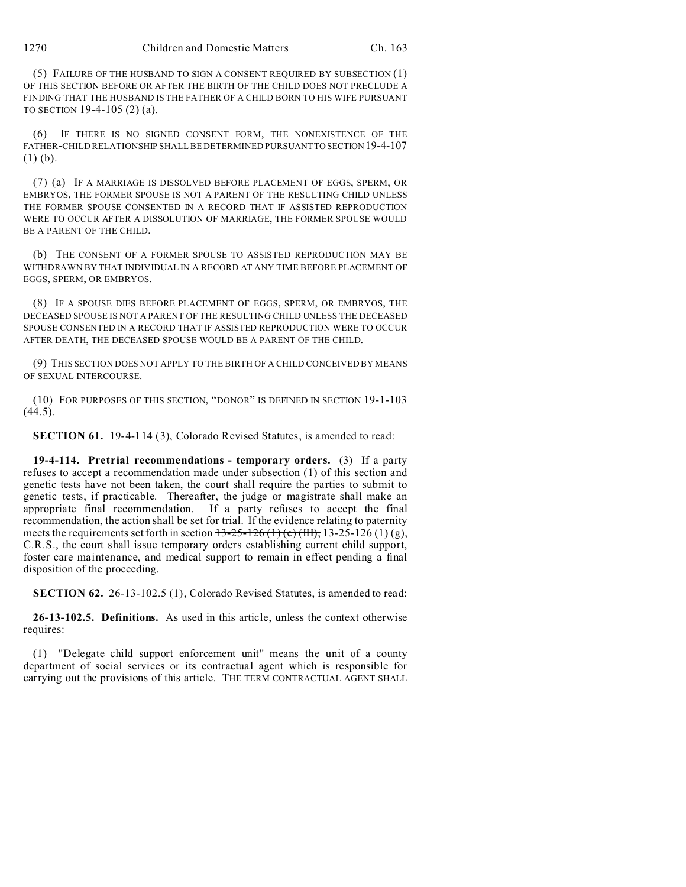(5) FAILURE OF THE HUSBAND TO SIGN A CONSENT REQUIRED BY SUBSECTION (1) OF THIS SECTION BEFORE OR AFTER THE BIRTH OF THE CHILD DOES NOT PRECLUDE A FINDING THAT THE HUSBAND IS THE FATHER OF A CHILD BORN TO HIS WIFE PURSUANT TO SECTION 19-4-105 (2) (a).

(6) IF THERE IS NO SIGNED CONSENT FORM, THE NONEXISTENCE OF THE FATHER-CHILD RELATIONSHIP SHALL BE DETERMINED PURSUANTTO SECTION 19-4-107 (1) (b).

(7) (a) IF A MARRIAGE IS DISSOLVED BEFORE PLACEMENT OF EGGS, SPERM, OR EMBRYOS, THE FORMER SPOUSE IS NOT A PARENT OF THE RESULTING CHILD UNLESS THE FORMER SPOUSE CONSENTED IN A RECORD THAT IF ASSISTED REPRODUCTION WERE TO OCCUR AFTER A DISSOLUTION OF MARRIAGE, THE FORMER SPOUSE WOULD BE A PARENT OF THE CHILD.

(b) THE CONSENT OF A FORMER SPOUSE TO ASSISTED REPRODUCTION MAY BE WITHDRAWN BY THAT INDIVIDUAL IN A RECORD AT ANY TIME BEFORE PLACEMENT OF EGGS, SPERM, OR EMBRYOS.

(8) IF A SPOUSE DIES BEFORE PLACEMENT OF EGGS, SPERM, OR EMBRYOS, THE DECEASED SPOUSE IS NOT A PARENT OF THE RESULTING CHILD UNLESS THE DECEASED SPOUSE CONSENTED IN A RECORD THAT IF ASSISTED REPRODUCTION WERE TO OCCUR AFTER DEATH, THE DECEASED SPOUSE WOULD BE A PARENT OF THE CHILD.

(9) THIS SECTION DOES NOT APPLY TO THE BIRTH OF A CHILD CONCEIVED BY MEANS OF SEXUAL INTERCOURSE.

(10) FOR PURPOSES OF THIS SECTION, "DONOR" IS DEFINED IN SECTION 19-1-103  $(44.5).$ 

**SECTION 61.** 19-4-114 (3), Colorado Revised Statutes, is amended to read:

**19-4-114. Pretrial recommendations - temporary orders.** (3) If a party refuses to accept a recommendation made under subsection (1) of this section and genetic tests have not been taken, the court shall require the parties to submit to genetic tests, if practicable. Thereafter, the judge or magistrate shall make an appropriate final recommendation. If a party refuses to accept the final recommendation, the action shall be set for trial. If the evidence relating to paternity meets the requirements set forth in section  $13-25-126$  (1) (e) (III), 13-25-126 (1) (g), C.R.S., the court shall issue temporary orders establishing current child support, foster care maintenance, and medical support to remain in effect pending a final disposition of the proceeding.

**SECTION 62.** 26-13-102.5 (1), Colorado Revised Statutes, is amended to read:

**26-13-102.5. Definitions.** As used in this article, unless the context otherwise requires:

(1) "Delegate child support enforcement unit" means the unit of a county department of social services or its contractual agent which is responsible for carrying out the provisions of this article. THE TERM CONTRACTUAL AGENT SHALL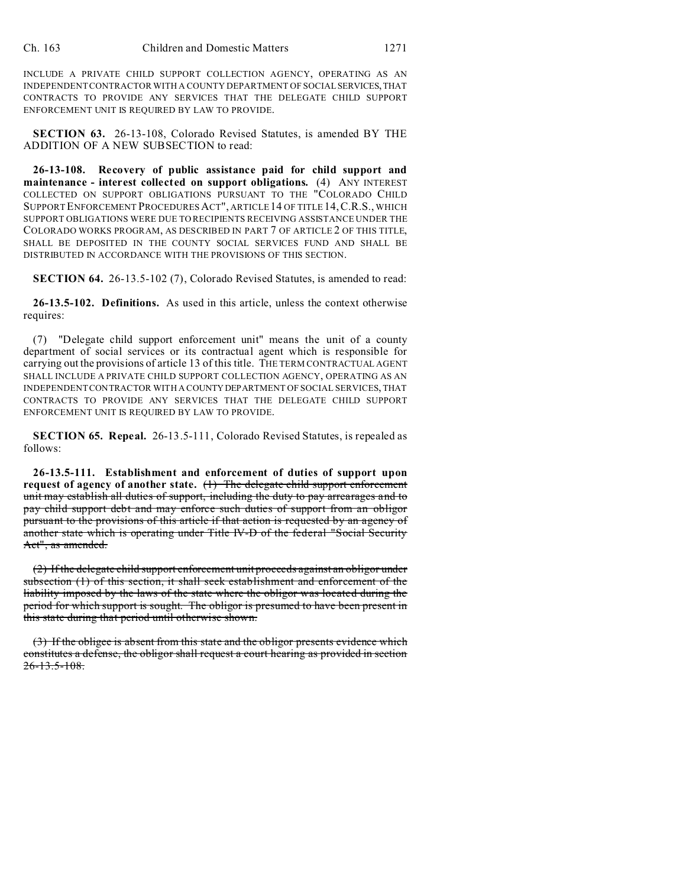INCLUDE A PRIVATE CHILD SUPPORT COLLECTION AGENCY, OPERATING AS AN INDEPENDENT CONTRACTOR WITH A COUNTY DEPARTMENT OF SOCIAL SERVICES,THAT CONTRACTS TO PROVIDE ANY SERVICES THAT THE DELEGATE CHILD SUPPORT ENFORCEMENT UNIT IS REQUIRED BY LAW TO PROVIDE.

**SECTION 63.** 26-13-108, Colorado Revised Statutes, is amended BY THE ADDITION OF A NEW SUBSECTION to read:

**26-13-108. Recovery of public assistance paid for child support and maintenance - interest collected on support obligations.** (4) ANY INTEREST COLLECTED ON SUPPORT OBLIGATIONS PURSUANT TO THE "COLORADO CHILD SUPPORT ENFORCEMENT PROCEDURES ACT", ARTICLE 14 OF TITLE 14,C.R.S., WHICH SUPPORT OBLIGATIONS WERE DUE TO RECIPIENTS RECEIVING ASSISTANCE UNDER THE COLORADO WORKS PROGRAM, AS DESCRIBED IN PART 7 OF ARTICLE 2 OF THIS TITLE, SHALL BE DEPOSITED IN THE COUNTY SOCIAL SERVICES FUND AND SHALL BE DISTRIBUTED IN ACCORDANCE WITH THE PROVISIONS OF THIS SECTION.

**SECTION 64.** 26-13.5-102 (7), Colorado Revised Statutes, is amended to read:

**26-13.5-102. Definitions.** As used in this article, unless the context otherwise requires:

(7) "Delegate child support enforcement unit" means the unit of a county department of social services or its contractual agent which is responsible for carrying out the provisions of article 13 of this title. THE TERM CONTRACTUAL AGENT SHALL INCLUDE A PRIVATE CHILD SUPPORT COLLECTION AGENCY, OPERATING AS AN INDEPENDENT CONTRACTOR WITH A COUNTYDEPARTMENT OF SOCIAL SERVICES, THAT CONTRACTS TO PROVIDE ANY SERVICES THAT THE DELEGATE CHILD SUPPORT ENFORCEMENT UNIT IS REQUIRED BY LAW TO PROVIDE.

**SECTION 65. Repeal.** 26-13.5-111, Colorado Revised Statutes, is repealed as follows:

**26-13.5-111. Establishment and enforcement of duties of support upon request of agency of another state.** (1) The delegate child support enforcement unit may establish all duties of support, including the duty to pay arrearages and to pay child support debt and may enforce such duties of support from an obligor pursuant to the provisions of this article if that action is requested by an agency of another state which is operating under Title IV-D of the federal "Social Security Act", as amended.

(2) If the delegate child support enforcement unit proceeds against an obligor under subsection (1) of this section, it shall seek establishment and enforcement of the liability imposed by the laws of the state where the obligor was located during the period for which support is sought. The obligor is presumed to have been present in this state during that period until otherwise shown.

(3) If the obligee is absent from this state and the obligor presents evidence which constitutes a defense, the obligor shall request a court hearing as provided in section  $26 - 13.5 - 108.$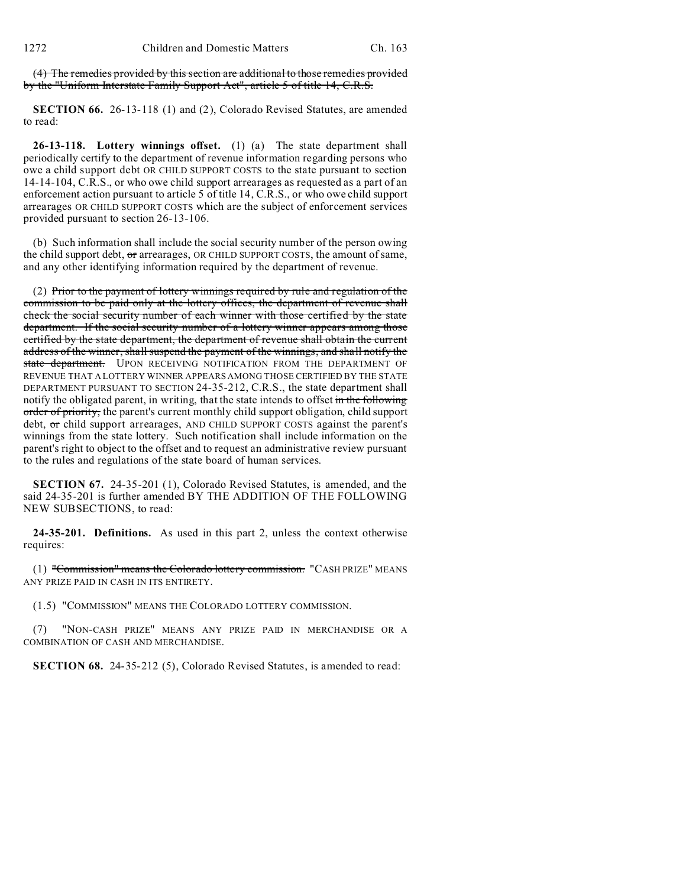(4) The remedies provided by this section are additional to those remedies provided by the "Uniform Interstate Family Support Act", article 5 of title 14, C.R.S.

**SECTION 66.** 26-13-118 (1) and (2), Colorado Revised Statutes, are amended to read:

**26-13-118. Lottery winnings offset.** (1) (a) The state department shall periodically certify to the department of revenue information regarding persons who owe a child support debt OR CHILD SUPPORT COSTS to the state pursuant to section 14-14-104, C.R.S., or who owe child support arrearages as requested as a part of an enforcement action pursuant to article 5 of title 14, C.R.S., or who owe child support arrearages OR CHILD SUPPORT COSTS which are the subject of enforcement services provided pursuant to section 26-13-106.

(b) Such information shall include the social security number of the person owing the child support debt, or arrearages, OR CHILD SUPPORT COSTS, the amount of same, and any other identifying information required by the department of revenue.

(2) Prior to the payment of lottery winnings required by rule and regulation of the commission to be paid only at the lottery offices, the department of revenue shall check the social security number of each winner with those certified by the state department. If the social security number of a lottery winner appears among those certified by the state department, the department of revenue shall obtain the current address of the winner, shall suspend the payment of the winnings, and shall notify the state department. UPON RECEIVING NOTIFICATION FROM THE DEPARTMENT OF REVENUE THAT A LOTTERY WINNER APPEARS AMONG THOSE CERTIFIED BY THE STATE DEPARTMENT PURSUANT TO SECTION 24-35-212, C.R.S., the state department shall notify the obligated parent, in writing, that the state intends to offset in the following order of priority, the parent's current monthly child support obligation, child support debt, or child support arrearages, AND CHILD SUPPORT COSTS against the parent's winnings from the state lottery. Such notification shall include information on the parent's right to object to the offset and to request an administrative review pursuant to the rules and regulations of the state board of human services.

**SECTION 67.** 24-35-201 (1), Colorado Revised Statutes, is amended, and the said 24-35-201 is further amended BY THE ADDITION OF THE FOLLOWING NEW SUBSECTIONS, to read:

**24-35-201. Definitions.** As used in this part 2, unless the context otherwise requires:

(1) "Commission" means the Colorado lottery commission. "CASH PRIZE" MEANS ANY PRIZE PAID IN CASH IN ITS ENTIRETY.

(1.5) "COMMISSION" MEANS THE COLORADO LOTTERY COMMISSION.

(7) "NON-CASH PRIZE" MEANS ANY PRIZE PAID IN MERCHANDISE OR A COMBINATION OF CASH AND MERCHANDISE.

**SECTION 68.** 24-35-212 (5), Colorado Revised Statutes, is amended to read: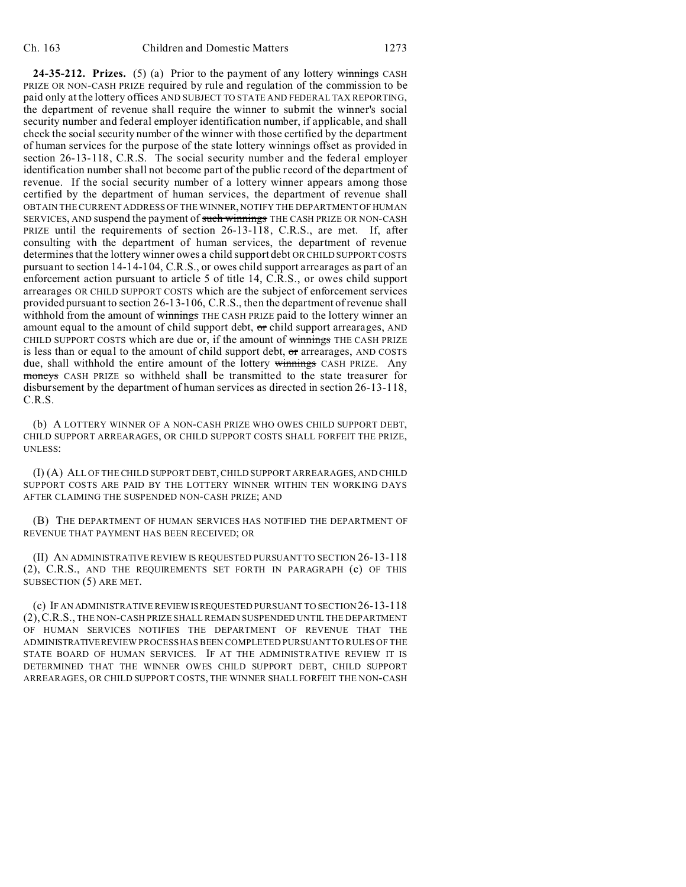**24-35-212. Prizes.** (5) (a) Prior to the payment of any lottery winnings CASH PRIZE OR NON-CASH PRIZE required by rule and regulation of the commission to be paid only at the lottery offices AND SUBJECT TO STATE AND FEDERAL TAX REPORTING, the department of revenue shall require the winner to submit the winner's social security number and federal employer identification number, if applicable, and shall check the social security number of the winner with those certified by the department of human services for the purpose of the state lottery winnings offset as provided in section 26-13-118, C.R.S. The social security number and the federal employer identification number shall not become part of the public record of the department of revenue. If the social security number of a lottery winner appears among those certified by the department of human services, the department of revenue shall OBTAIN THE CURRENT ADDRESS OF THE WINNER, NOTIFY THE DEPARTMENT OF HUMAN SERVICES, AND suspend the payment of such winnings THE CASH PRIZE OR NON-CASH PRIZE until the requirements of section 26-13-118, C.R.S., are met. If, after consulting with the department of human services, the department of revenue determines that the lottery winner owes a child support debt OR CHILD SUPPORT COSTS pursuant to section 14-14-104, C.R.S., or owes child support arrearages as part of an enforcement action pursuant to article 5 of title 14, C.R.S., or owes child support arrearages OR CHILD SUPPORT COSTS which are the subject of enforcement services provided pursuant to section 26-13-106, C.R.S., then the department of revenue shall withhold from the amount of winnings THE CASH PRIZE paid to the lottery winner an amount equal to the amount of child support debt,  $\sigma$  child support arrearages, AND CHILD SUPPORT COSTS which are due or, if the amount of winnings THE CASH PRIZE is less than or equal to the amount of child support debt,  $\sigma$  arrearages, AND COSTS due, shall withhold the entire amount of the lottery winnings CASH PRIZE. Any moneys CASH PRIZE so withheld shall be transmitted to the state treasurer for disbursement by the department of human services as directed in section 26-13-118, C.R.S.

(b) A LOTTERY WINNER OF A NON-CASH PRIZE WHO OWES CHILD SUPPORT DEBT, CHILD SUPPORT ARREARAGES, OR CHILD SUPPORT COSTS SHALL FORFEIT THE PRIZE, UNLESS:

(I) (A) ALL OF THE CHILD SUPPORT DEBT, CHILD SUPPORT ARREARAGES, AND CHILD SUPPORT COSTS ARE PAID BY THE LOTTERY WINNER WITHIN TEN WORKING DAYS AFTER CLAIMING THE SUSPENDED NON-CASH PRIZE; AND

(B) THE DEPARTMENT OF HUMAN SERVICES HAS NOTIFIED THE DEPARTMENT OF REVENUE THAT PAYMENT HAS BEEN RECEIVED; OR

(II) AN ADMINISTRATIVE REVIEW IS REQUESTED PURSUANT TO SECTION 26-13-118 (2), C.R.S., AND THE REQUIREMENTS SET FORTH IN PARAGRAPH (c) OF THIS SUBSECTION (5) ARE MET.

(c) IF AN ADMINISTRATIVE REVIEWISREQUESTED PURSUANT TO SECTION 26-13-118 (2),C.R.S., THE NON-CASH PRIZE SHALL REMAIN SUSPENDED UNTIL THE DEPARTMENT OF HUMAN SERVICES NOTIFIES THE DEPARTMENT OF REVENUE THAT THE ADMINISTRATIVEREVIEW PROCESS HAS BEEN COMPLETED PURSUANT TO RULES OF THE STATE BOARD OF HUMAN SERVICES. IF AT THE ADMINISTRATIVE REVIEW IT IS DETERMINED THAT THE WINNER OWES CHILD SUPPORT DEBT, CHILD SUPPORT ARREARAGES, OR CHILD SUPPORT COSTS, THE WINNER SHALL FORFEIT THE NON-CASH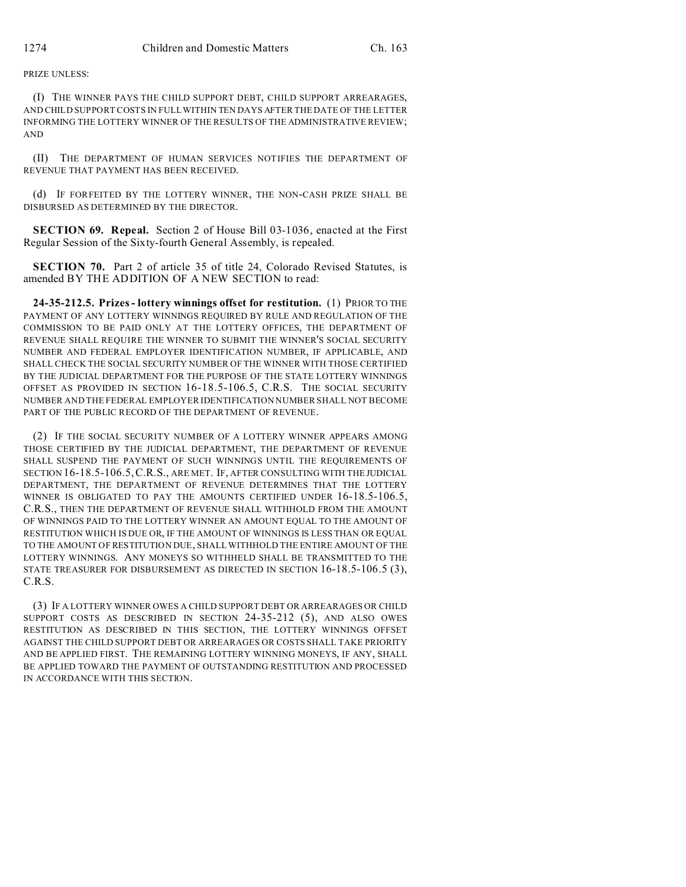PRIZE UNLESS:

(I) THE WINNER PAYS THE CHILD SUPPORT DEBT, CHILD SUPPORT ARREARAGES, AND CHILD SUPPORT COSTS IN FULL WITHIN TEN DAYS AFTER THE DATE OF THE LETTER INFORMING THE LOTTERY WINNER OF THE RESULTS OF THE ADMINISTRATIVE REVIEW; AND

(II) THE DEPARTMENT OF HUMAN SERVICES NOTIFIES THE DEPARTMENT OF REVENUE THAT PAYMENT HAS BEEN RECEIVED.

(d) IF FORFEITED BY THE LOTTERY WINNER, THE NON-CASH PRIZE SHALL BE DISBURSED AS DETERMINED BY THE DIRECTOR.

**SECTION 69. Repeal.** Section 2 of House Bill 03-1036, enacted at the First Regular Session of the Sixty-fourth General Assembly, is repealed.

**SECTION 70.** Part 2 of article 35 of title 24, Colorado Revised Statutes, is amended BY THE ADDITION OF A NEW SECTION to read:

**24-35-212.5. Prizes - lottery winnings offset for restitution.** (1) PRIOR TO THE PAYMENT OF ANY LOTTERY WINNINGS REQUIRED BY RULE AND REGULATION OF THE COMMISSION TO BE PAID ONLY AT THE LOTTERY OFFICES, THE DEPARTMENT OF REVENUE SHALL REQUIRE THE WINNER TO SUBMIT THE WINNER'S SOCIAL SECURITY NUMBER AND FEDERAL EMPLOYER IDENTIFICATION NUMBER, IF APPLICABLE, AND SHALL CHECK THE SOCIAL SECURITY NUMBER OF THE WINNER WITH THOSE CERTIFIED BY THE JUDICIAL DEPARTMENT FOR THE PURPOSE OF THE STATE LOTTERY WINNINGS OFFSET AS PROVIDED IN SECTION 16-18.5-106.5, C.R.S. THE SOCIAL SECURITY NUMBER AND THE FEDERAL EMPLOYER IDENTIFICATION NUMBER SHALL NOT BECOME PART OF THE PUBLIC RECORD OF THE DEPARTMENT OF REVENUE.

(2) IF THE SOCIAL SECURITY NUMBER OF A LOTTERY WINNER APPEARS AMONG THOSE CERTIFIED BY THE JUDICIAL DEPARTMENT, THE DEPARTMENT OF REVENUE SHALL SUSPEND THE PAYMENT OF SUCH WINNINGS UNTIL THE REQUIREMENTS OF SECTION 16-18.5-106.5,C.R.S., ARE MET. IF, AFTER CONSULTING WITH THE JUDICIAL DEPARTMENT, THE DEPARTMENT OF REVENUE DETERMINES THAT THE LOTTERY WINNER IS OBLIGATED TO PAY THE AMOUNTS CERTIFIED UNDER 16-18.5-106.5, C.R.S., THEN THE DEPARTMENT OF REVENUE SHALL WITHHOLD FROM THE AMOUNT OF WINNINGS PAID TO THE LOTTERY WINNER AN AMOUNT EQUAL TO THE AMOUNT OF RESTITUTION WHICH IS DUE OR, IF THE AMOUNT OF WINNINGS IS LESS THAN OR EQUAL TO THE AMOUNT OF RESTITUTION DUE, SHALL WITHHOLD THE ENTIRE AMOUNT OF THE LOTTERY WINNINGS. ANY MONEYS SO WITHHELD SHALL BE TRANSMITTED TO THE STATE TREASURER FOR DISBURSEMENT AS DIRECTED IN SECTION 16-18.5-106.5 (3), C.R.S.

(3) IF A LOTTERY WINNER OWES A CHILD SUPPORT DEBT OR ARREARAGES OR CHILD SUPPORT COSTS AS DESCRIBED IN SECTION 24-35-212 (5), AND ALSO OWES RESTITUTION AS DESCRIBED IN THIS SECTION, THE LOTTERY WINNINGS OFFSET AGAINST THE CHILD SUPPORT DEBT OR ARREARAGES OR COSTS SHALL TAKE PRIORITY AND BE APPLIED FIRST. THE REMAINING LOTTERY WINNING MONEYS, IF ANY, SHALL BE APPLIED TOWARD THE PAYMENT OF OUTSTANDING RESTITUTION AND PROCESSED IN ACCORDANCE WITH THIS SECTION.